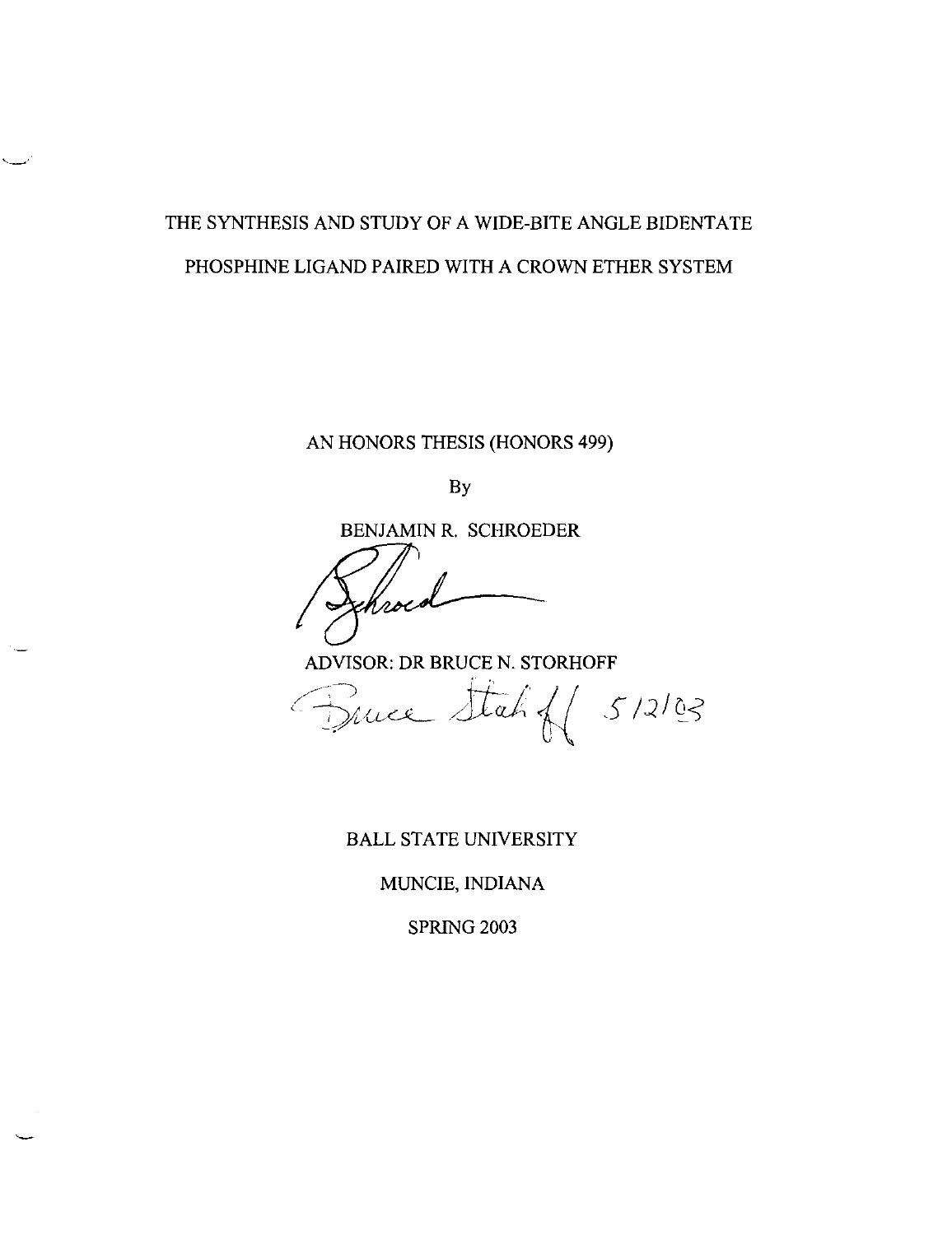## THE SYNTHESIS AND STUDY OF A WIDE-BITE ANGLE BIDENTATE PHOSPHINE LIGAND PAIRED WITH A CROWN ETHER SYSTEM

AN HONORS THESIS (HONORS 499)

By

BENJAMIN R. SCHROEDER

ADVISOR: DR BRUCE N. STORHOFF

Fruce Stah f 5/2/03

BALL STATE UNIVERSITY

MUNCIE, INDIANA

SPRING 2003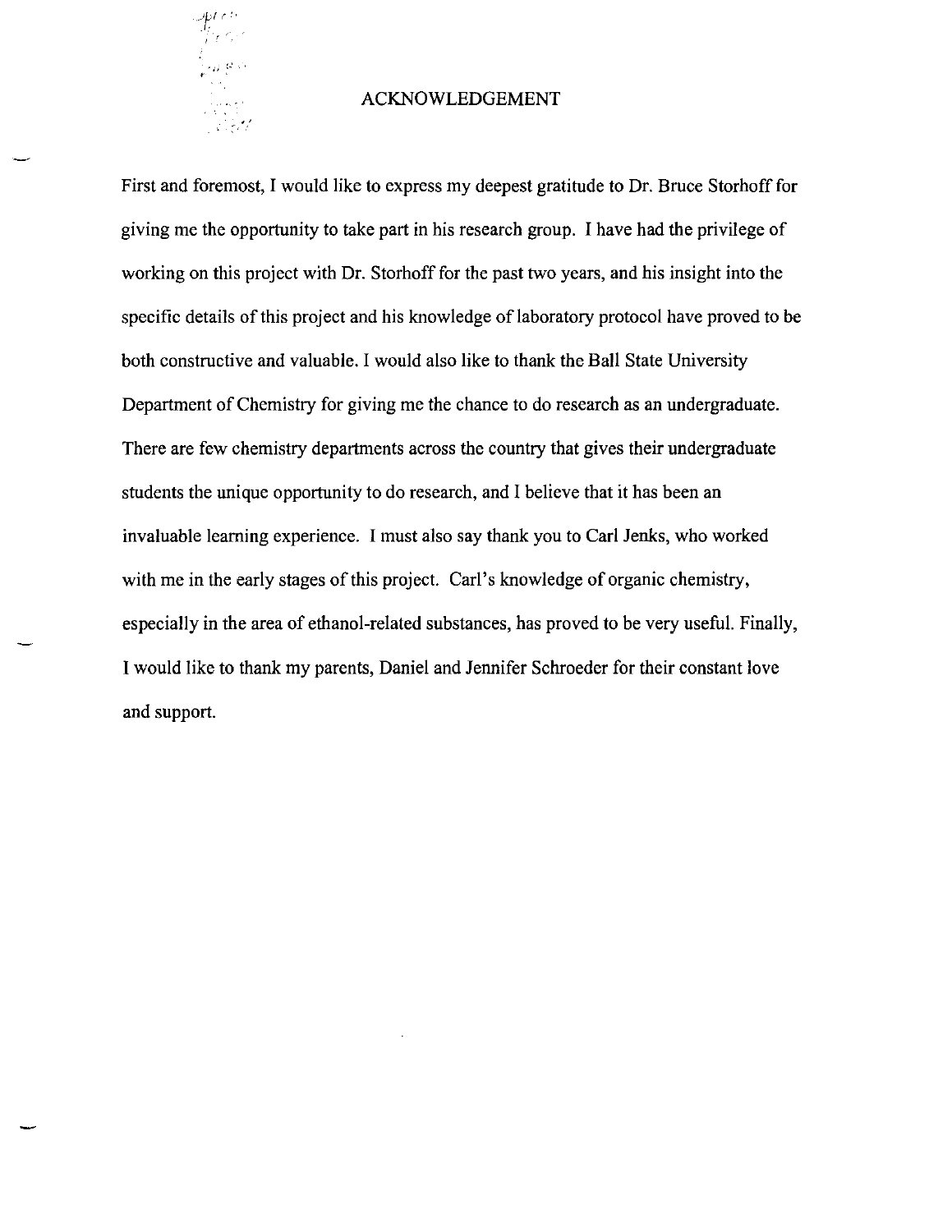

### ACKNOWLEDGEMENT

First and foremost, I would like to express my deepest gratitude to Dr. Bruce Storhoff for giving me the opportunity to take part in his research group. I have had the privilege of working on this project with Dr. Storhoff for the past two years, and his insight into the specific details of this project and his knowledge of laboratory protocol have proved to be both constructive and valuable. I would also like to thank the Ball State University Department of Chemistry for giving me the chance to do research as an undergraduate. There are few chemistry departments across the country that gives their undergraduate students the unique opportunity to do research, and I believe that it has been an invaluable learning experience. I must also say thank you to Carl Jenks, who worked with me in the early stages of this project. Carl's knowledge of organic chemistry, especially in the area of ethanol-related substances, has proved to be very useful. Finally, I would like to thank my parents, Daniel and Jennifer Schroeder for their constant love and support.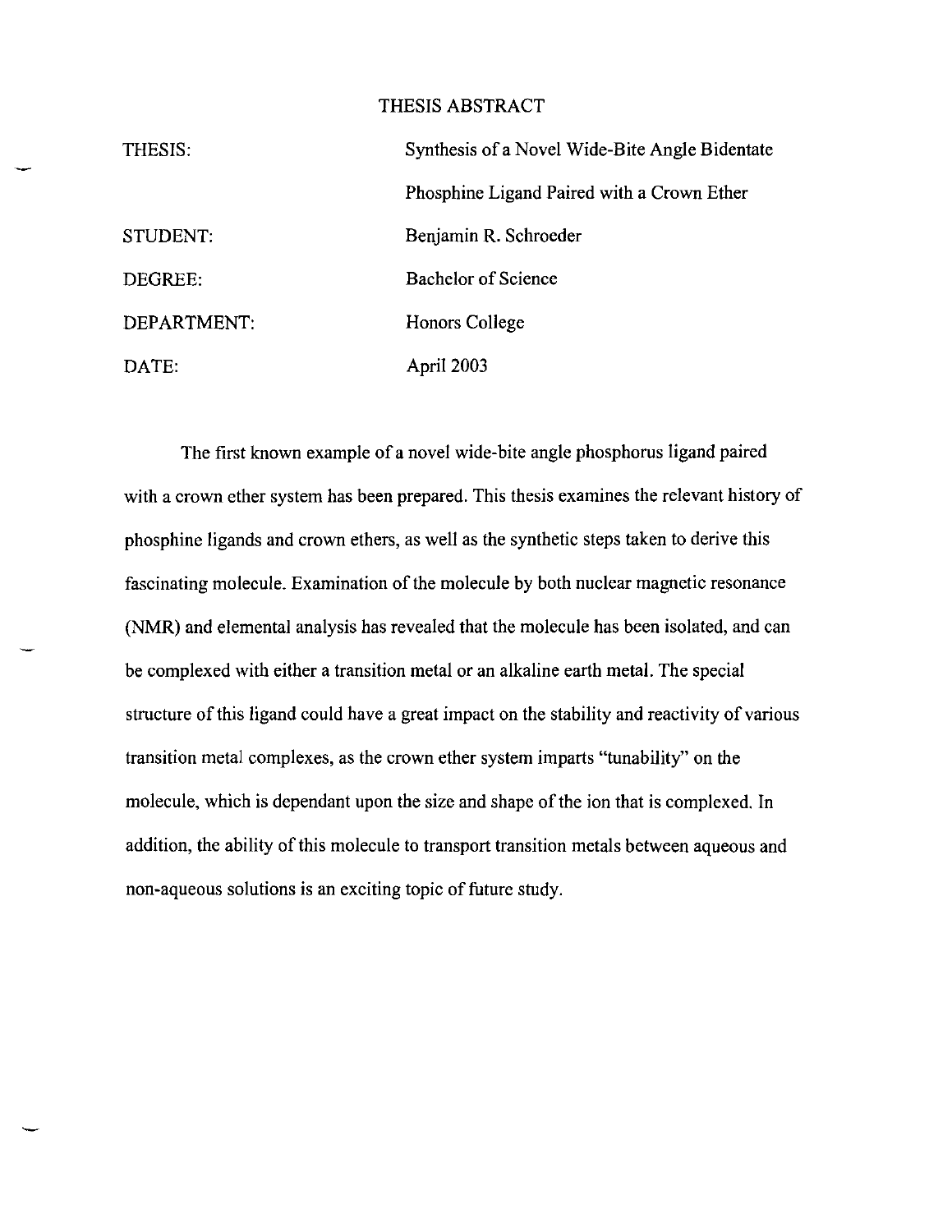## THESIS ABSTRACT

| THESIS:     | Synthesis of a Novel Wide-Bite Angle Bidentate |
|-------------|------------------------------------------------|
|             | Phosphine Ligand Paired with a Crown Ether     |
| STUDENT:    | Benjamin R. Schroeder                          |
| DEGREE:     | <b>Bachelor of Science</b>                     |
| DEPARTMENT: | Honors College                                 |
| DATE:       | April 2003                                     |

The first known example of a novel wide-bite angle phosphorus ligand paired with a crown ether system has been prepared. This thesis examines the relevant history of phosphine ligands and crown ethers, as well as the synthetic steps taken to derive this fascinating molecule. Examination of the molecule by both nuclear magnetic resonance (NMR) and elemental analysis has revealed that the molecule has been isolated, and can be complexed with either a transition metal or an alkaline earth metal. The special structure of this ligand could have a great impact on the stability and reactivity of various transition metal complexes, as the crown ether system imparts "tunability" on the molecule, which is dependant upon the size and shape of the ion that is complexed. **In**  addition, the ability of this molecule to transport transition metals between aqueous and non-aqueous solutions is an exciting topic of future study.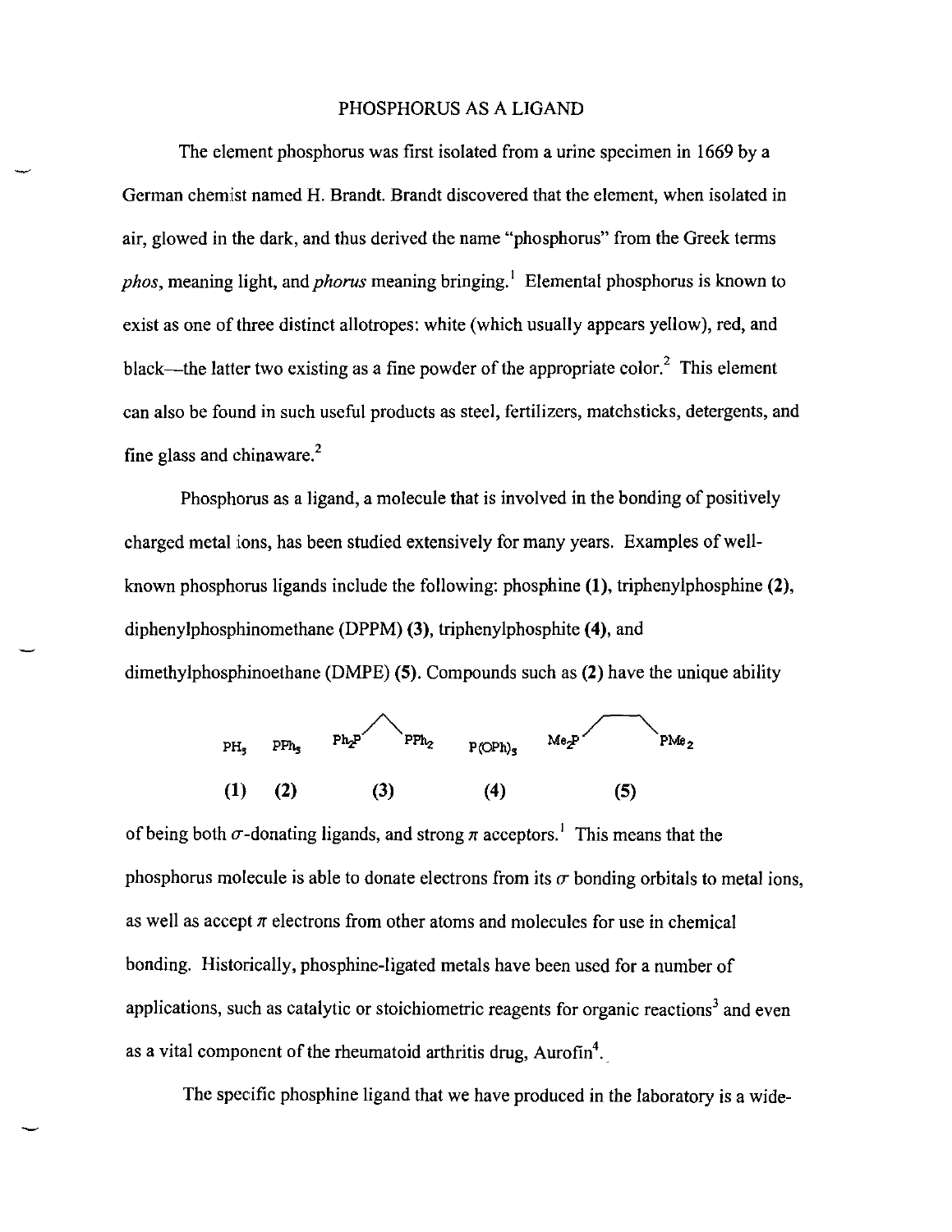## PHOSPHORUS AS A LIGAND

The element phosphorus was first isolated from a urine specimen in 1669 by a German chemist named H. Brandt. Brandt discovered that the element, when isolated in air, glowed in the dark, and thus derived the name "phosphorus" from the Greek terms *phas,* meaning light, and *pharus* meaning bringing.' Elemental phosphorus is known to exist as one of three distinct allotropes: white (which usually appears yellow), red, and black—the latter two existing as a fine powder of the appropriate color.<sup>2</sup> This element can also be found in such useful products as steel, fertilizers, matchsticks, detergents, and fine glass and chinaware.<sup>2</sup>

Phosphorus as a ligand, a molecule that is involved in the bonding of positively charged metal ions, has been studied extensively for many years. Examples of wellknown phosphorus ligands include the following: phosphine (1), triphenylphosphine (2), diphenylphosphinomethane (DPPM) (3), triphenylphosphite (4), and dimethylphosphinoethane (DMPE) (5). Compounds such as (2) have the unique ability



of being both  $\sigma$ -donating ligands, and strong  $\pi$  acceptors.<sup>1</sup> This means that the phosphorus molecule is able to donate electrons from its  $\sigma$  bonding orbitals to metal ions, as well as accept  $\pi$  electrons from other atoms and molecules for use in chemical bonding. Historically, phosphine-ligated metals have been used for a number of applications, such as catalytic or stoichiometric reagents for organic reactions<sup>3</sup> and even as a vital component of the rheumatoid arthritis drug, Aurofin<sup>4</sup>.

The specific phosphine ligand that we have produced in the laboratory is a wide-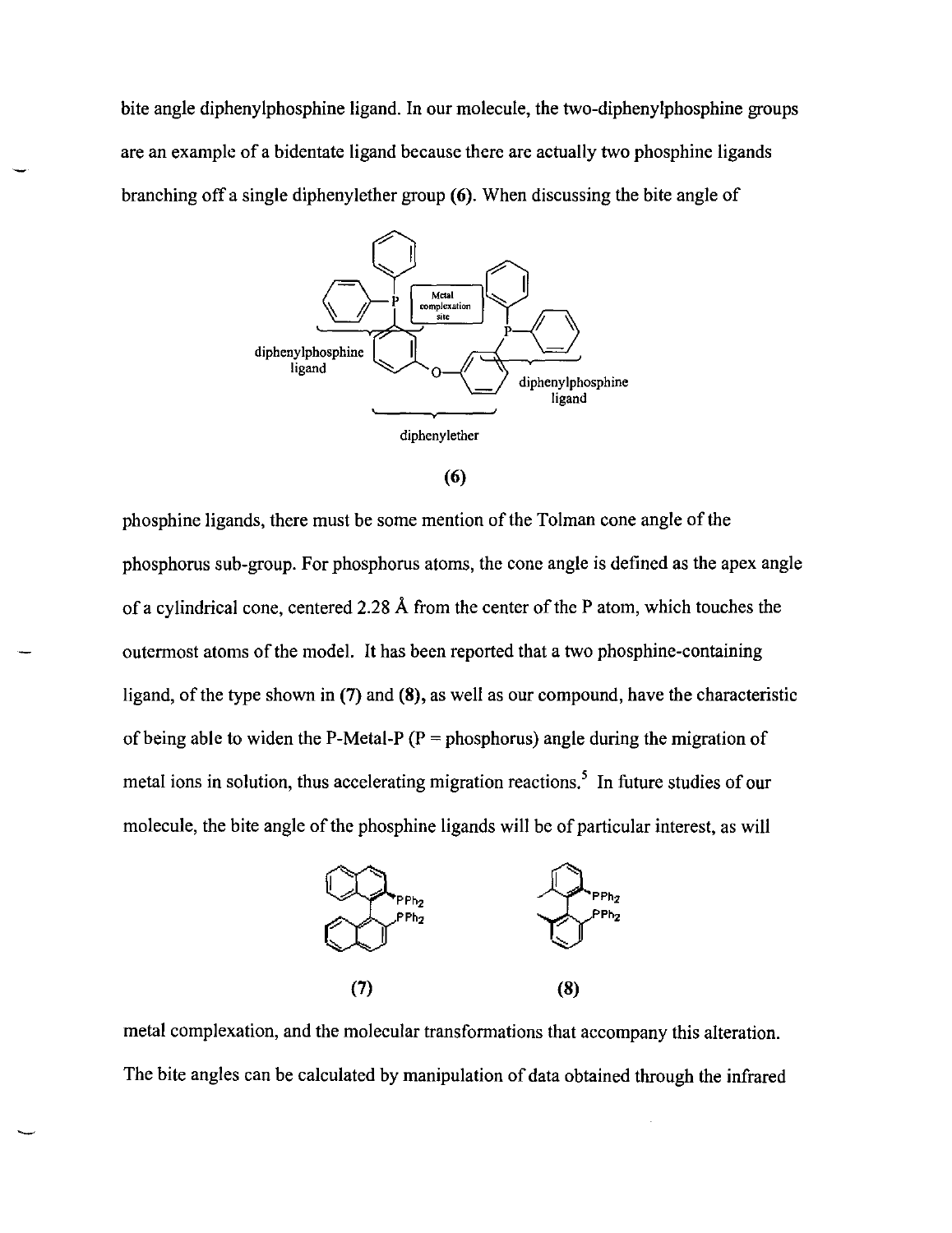bite angle diphenylphosphine ligand. In our molecule, the two-diphenylphosphine groups are an example of a bidentate ligand because there are actually two phosphine ligands branching off a single diphenylether group (6). When discussing the bite angle of



<sup>(6)</sup> 

phosphine ligands, there must be some mention of the Tolman cone angle of the phosphorus sub-group. For phosphorus atoms, the cone angle is defined as the apex angle of a cylindrical cone, centered 2.28 A from the center of the P atom, which touches the outermost atoms of the model. It has been reported that a two phosphine-containing ligand, of the type shown in (7) and (8), as well as our compound, have the characteristic of being able to widen the P-Metal-P ( $P =$  phosphorus) angle during the migration of metal ions in solution, thus accelerating migration reactions.<sup>5</sup> In future studies of our molecule, the bite angle of the phosphine ligands will be of particular interest, as will



metal complexation, and the molecular transformations that accompany this alteration. The bite angles can be calculated by manipulation of data obtained through the infrared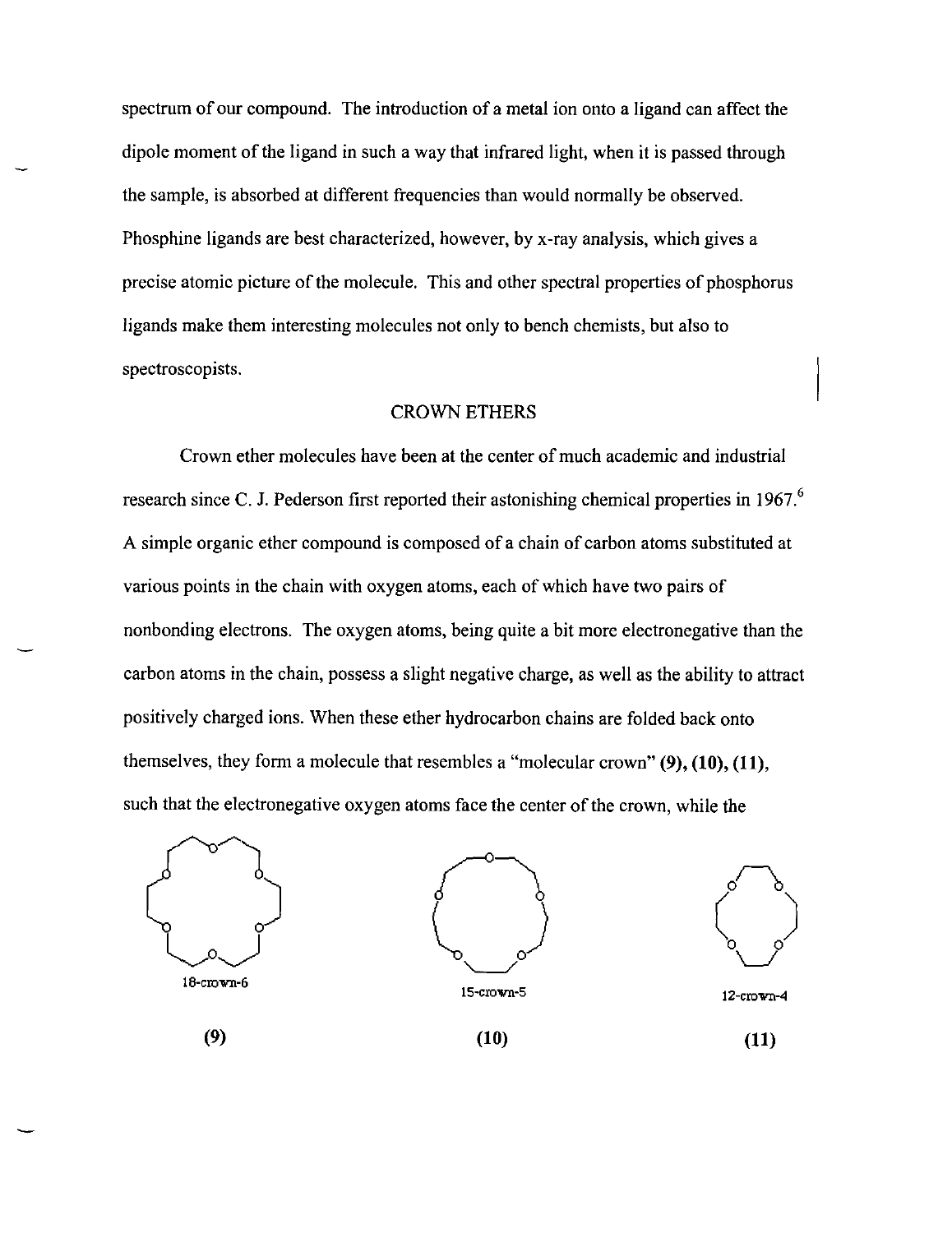spectrum of our compound. The introduction of a metal ion onto a ligand can affect the dipole moment of the ligand in such a way that infrared light, when it is passed through the sample, is absorbed at different frequencies than would normally be observed. Phosphine ligands are best characterized, however, by x-ray analysis, which gives a precise atomic picture of the molecule. This and other spectral properties of phosphorus ligands make them interesting molecules not only to bench chemists, but also to spectroscopists.

### CROWN ETHERS

Crown ether molecules have been at the center of much academic and industrial research since C. J. Pederson first reported their astonishing chemical properties in  $1967$ .<sup>6</sup> A simple organic ether compound is composed of a chain of carbon atoms substituted at various points in the chain with oxygen atoms, each of which have two pairs of nonbonding electrons. The oxygen atoms, being quite a bit more electronegative than the carbon atoms in the chain, possess a slight negative charge, as well as the ability to attract positively charged ions. When these ether hydrocarbon chains are folded back onto themselves, they form a molecule that resembles a "molecular crown" (9), (10), (11), such that the electronegative oxygen atoms face the center of the crown, while the

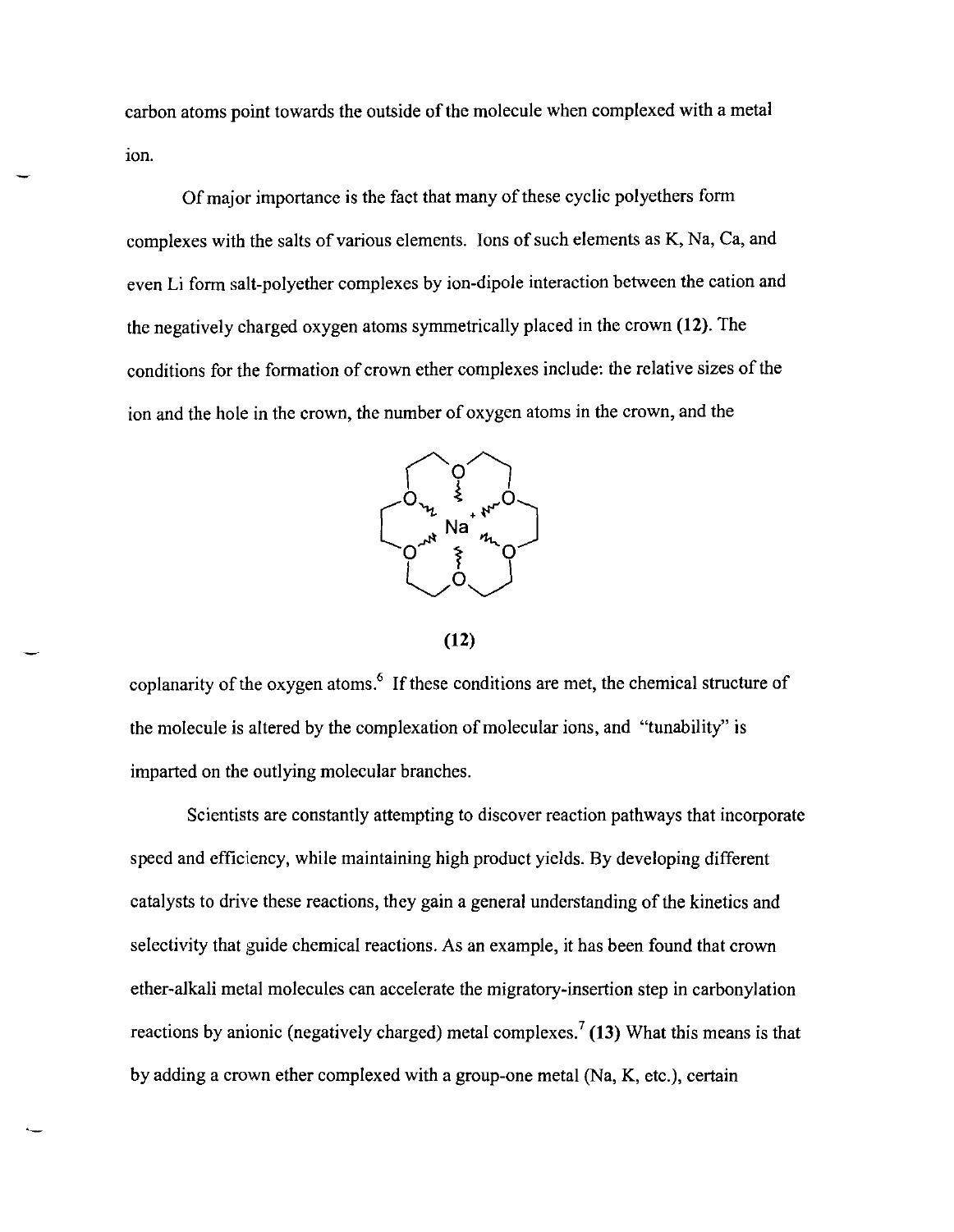carbon atoms point towards the outside of the molecule when complexed with a metal ion.

Of major importance is the fact that many of these cyclic polyethers form complexes with the salts of various elements. Ions of such elements as K, Na, Ca, and even Li form salt-polyether complexes by ion-dipole interaction between the cation and the negatively charged oxygen atoms symmetrically placed in the crown (12). The conditions for the formation of crown ether complexes include: the relative sizes of the ion and the hole in the crown, the number of oxygen atoms in the crown, and the



**(12)** 

coplanarity of the oxygen atoms.<sup>6</sup> If these conditions are met, the chemical structure of the molecule is altered by the complexation of molecular ions, and "tunability" is imparted on the outlying molecular branches.

Scientists are constantly attempting to discover reaction pathways that incorporate speed and efficiency, while maintaining high product yields. By developing different catalysts to drive these reactions, they gain a general understanding of the kinetics and selectivity that guide chemical reactions. As an example, it has been found that crown ether-alkali metal molecules can accelerate the migratory-insertion step in carbonylation reactions by anionic (negatively charged) metal complexes.<sup>7</sup> (13) What this means is that by adding a crown ether complexed with a group-one metal (Na, K, etc.), certain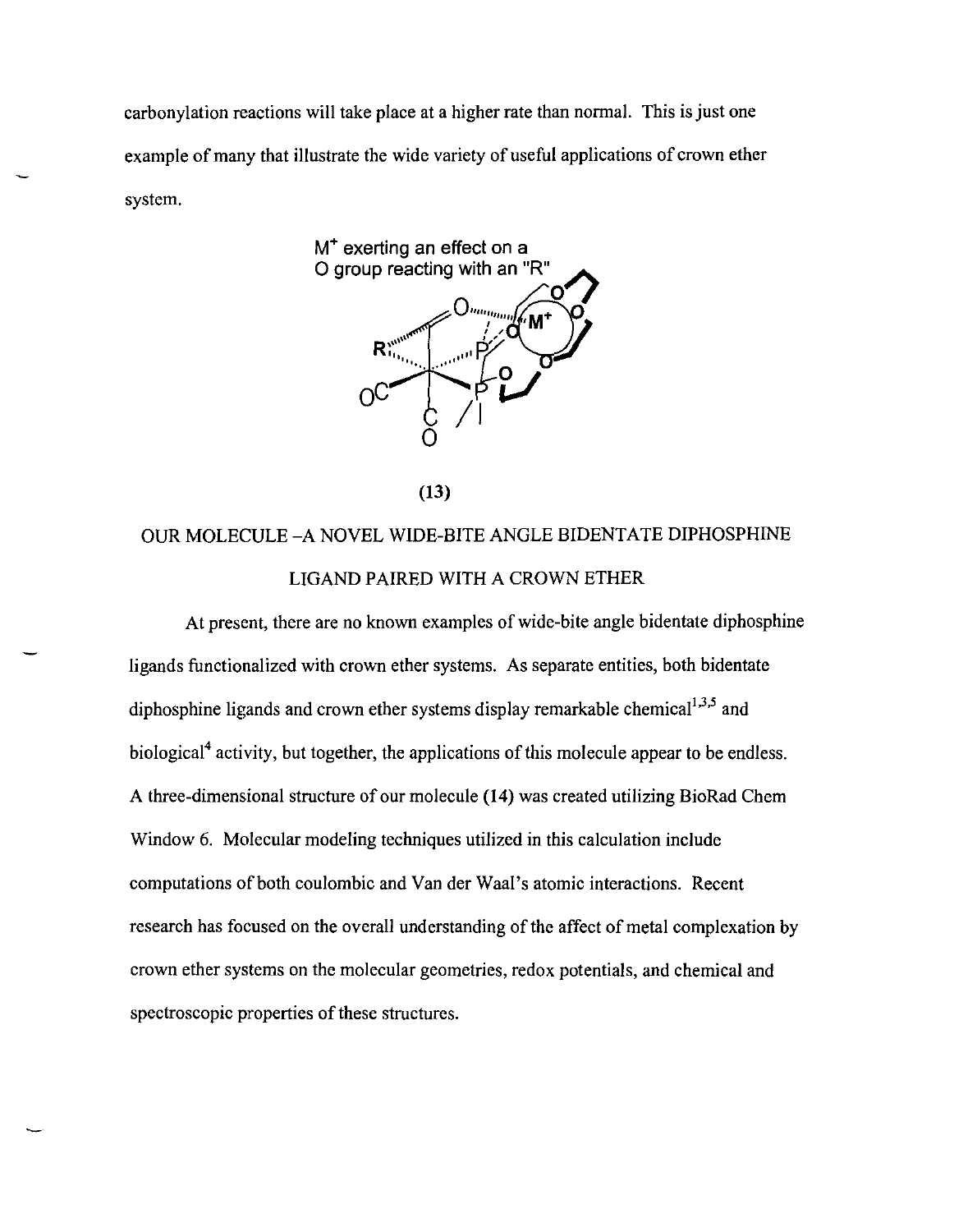carbonylation reactions will take place at a higher rate than normal. This is just one example of many that illustrate the wide variety of useful applications of crown ether system.



(13)

# OUR MOLECULE -A NOVEL WIDE-BITE ANGLE BIDENTATE DIPHOSPHINE LIGAND PAIRED WITH A CROWN ETHER

At present, there are no known examples of wide-bite angle bidentate diphosphine ligands functionalized with crown ether systems. As separate entities, both bidentate diphosphine ligands and crown ether systems display remarkable chemical<sup>1,3,5</sup> and biological<sup>4</sup> activity, but together, the applications of this molecule appear to be endless. A three-dimensional structure of our molecule (14) was created utilizing BioRad Chern Window 6. Molecular modeling techniques utilized in this calculation include computations of both coulombic and Van der Waal's atomic interactions. Recent research has focused on the overall understanding of the affect of metal complexation by crown ether systems on the molecular geometries, redox potentials, and chemical and spectroscopic properties of these structures.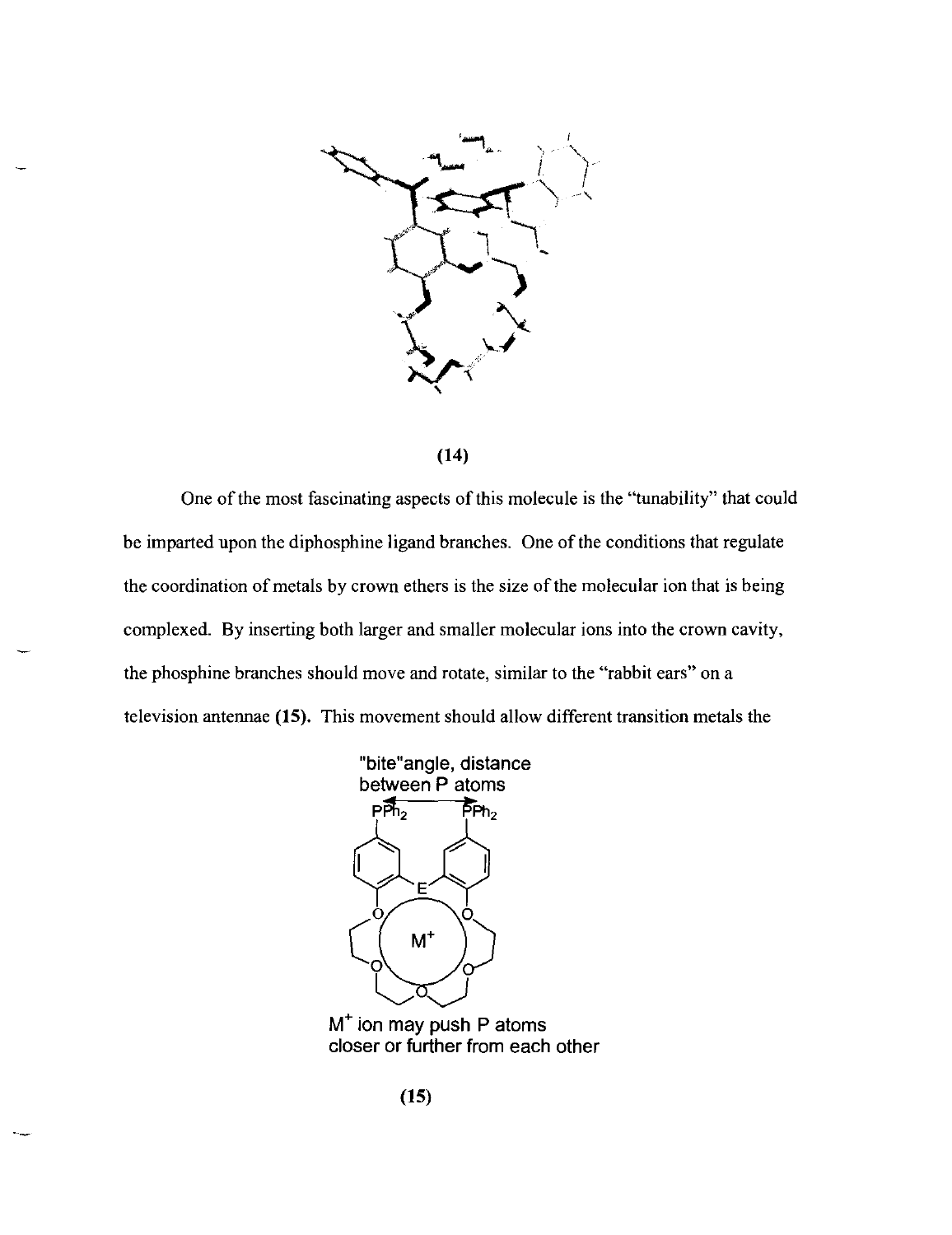

(14)

One of the most fascinating aspects of this molecule is the "tunability" that could be imparted upon the diphosphine ligand branches. One of the conditions that regulate the coordination of metals by crown ethers is the size of the molecular ion that is being complexed. By inserting both larger and smaller molecular ions into the crown cavity, the phosphine branches should move and rotate, similar to the "rabbit ears" on a television antennae (15). This movement should allow different transition metals the



M<sup>+</sup> ion may push P atoms closer or further from each other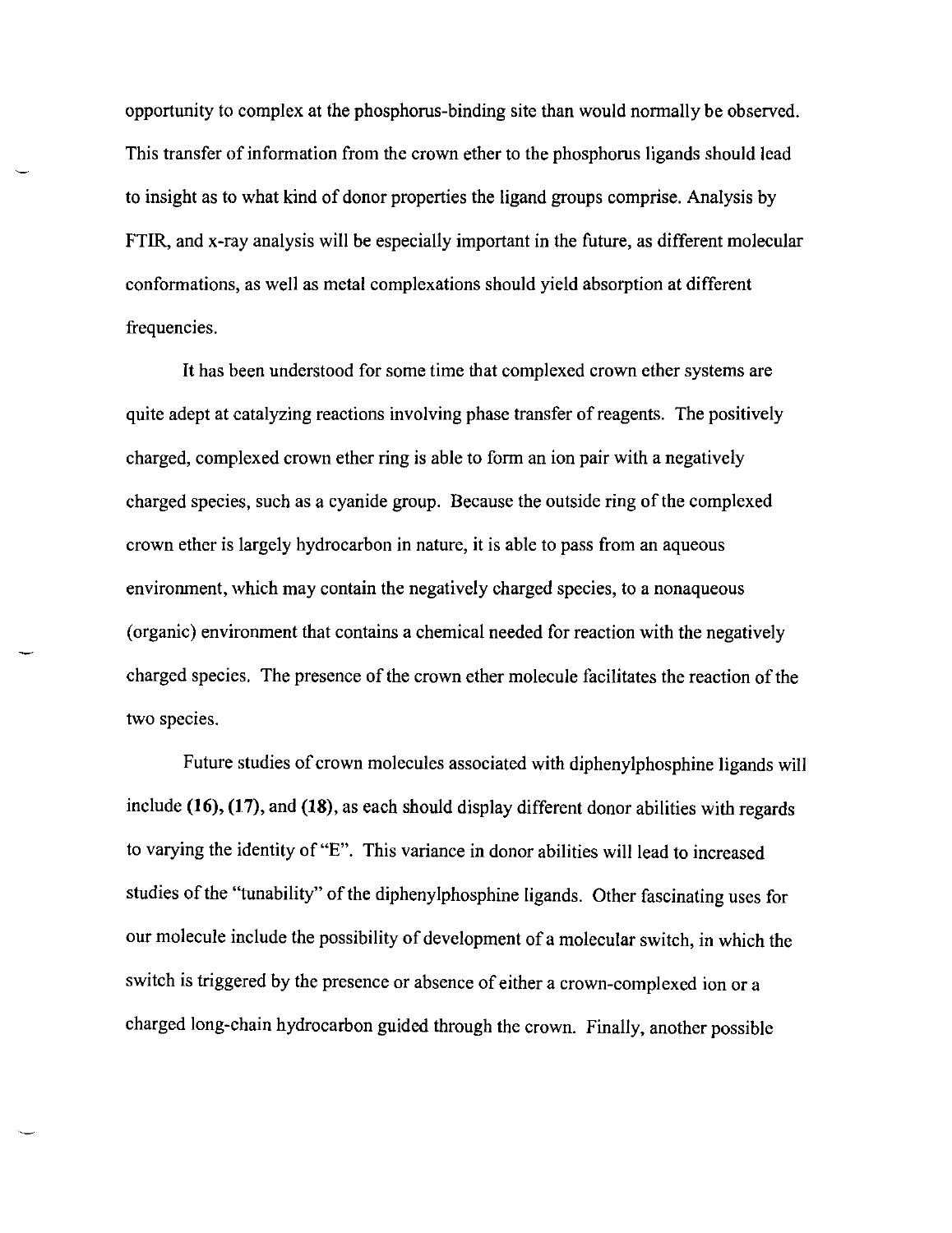opportunity to complex at the phosphorus-binding site than would nonnally be observed. This transfer of information from the crown ether to the phosphorus ligands should lead to insight as to what kind of donor properties the ligand groups comprise. Analysis by FTIR, and x-ray analysis will be especially important in the future, as different molecular confonnations, as well as metal complexations should yield absorption at different frequencies.

It has been understood for some time that complexed crown ether systems are quite adept at catalyzing reactions involving phase transfer of reagents. The positively charged, complexed crown ether ring is able to fonn an ion pair with a negatively charged species, such as a cyanide group. Because the outside ring of the complexed crown ether is largely hydrocarbon in nature, it is able to pass from an aqueous environment, which may contain the negatively charged species, to a nonaqueous (organic) environment that contains a chemical needed for reaction with the negatively charged species. The presence of the crown ether molecule facilitates the reaction of the two species.

Future studies of crown molecules associated with diphenylphosphine ligands will include (16), (17), and (18), as each should display different donor abilities with regards to varying the identity of "E". This variance in donor abilities will lead to increased studies of the "tunability" of the diphenylphosphine ligands. Other fascinating uses for our molecule include the possibility of development of a molecular switch, in which the switch is triggered by the presence or absence of either a crown-complexed ion or a charged long-chain hydrocarbon guided through the crown. Finally, another possible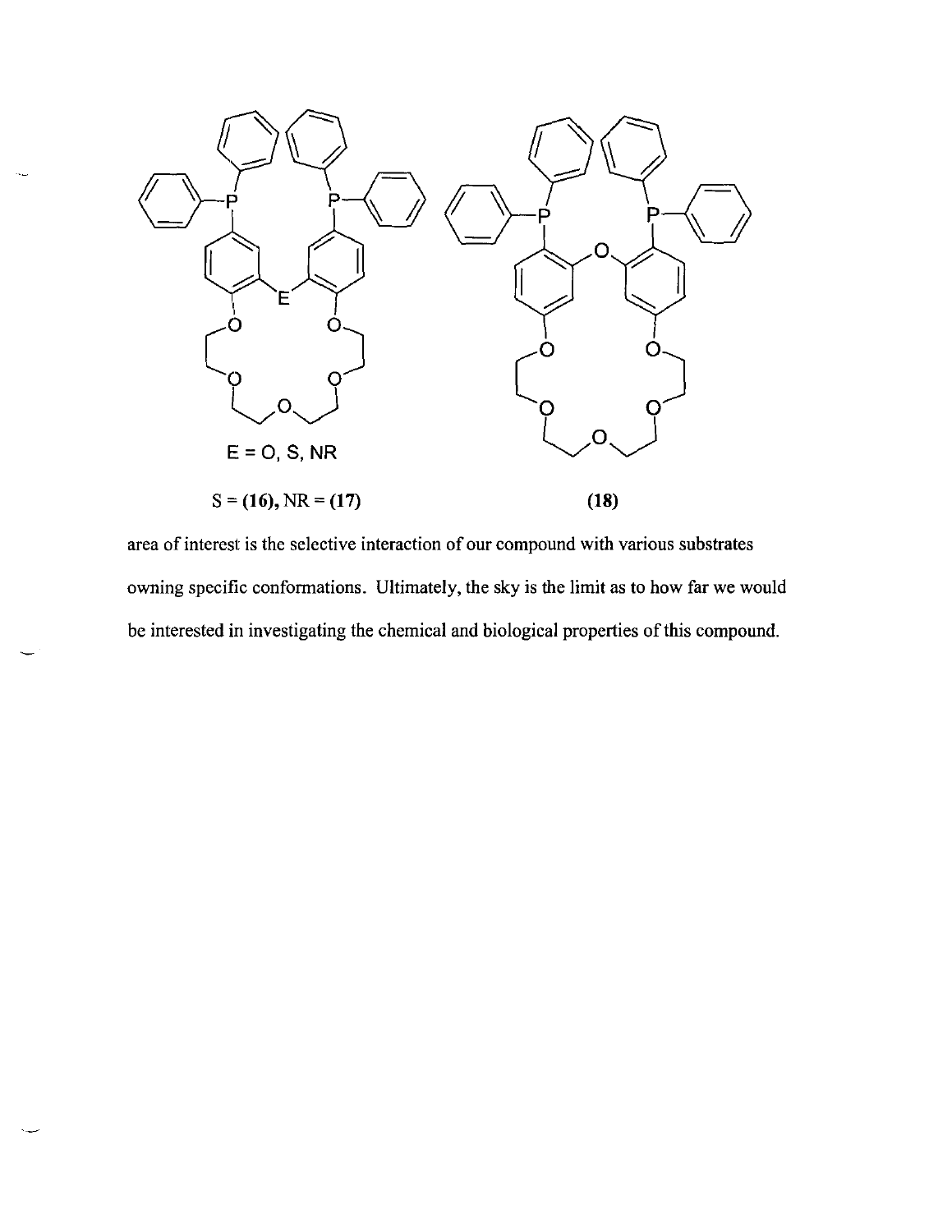

area of interest is the selective interaction of our compound with various substrates owning specific conformations. Ultimately, the sky is the limit as to how far we would be interested in investigating the chemical and biological properties of this compound.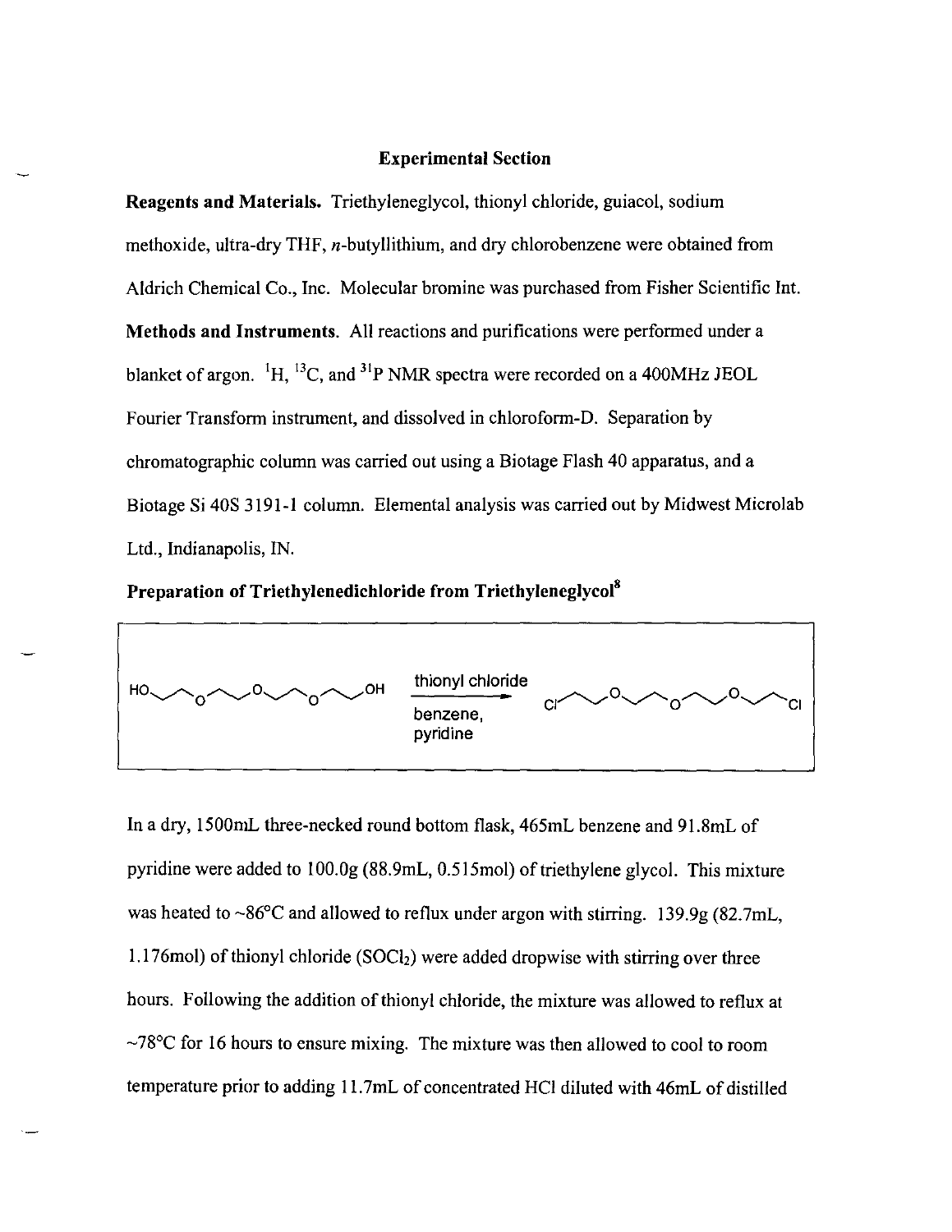## Experimental Section

Reagents and Materials. Triethyleneglycol, thionyl chloride, guiacol, sodium methoxide, ultra-dry THF, n-butyllithium, and dry chlorobenzene were obtained from Aldrich Chemical Co., Inc. Molecular bromine was purchased from Fisher Scientific Int. Methods and Instruments. All reactions and purifications were performed under a blanket of argon.  ${}^{1}H$ ,  ${}^{13}C$ , and  ${}^{31}P$  NMR spectra were recorded on a 400MHz JEOL Fourier Transform instrument, and dissolved in chloroform-D. Separation by chromatographic column was carried out using a Biotage Flash 40 apparatus, and a Biotage Si 40S 3191-1 column. Elemental analysis was carried out by Midwest Microlab Ltd., Indianapolis, IN.

Preparation of Triethylenedichloride from Triethyleneglycol<sup>8</sup>



In a dry, 1500mL three-necked round bottom flask, 465mL benzene and 91.8mL of pyridine were added to I OO.Og (88.9mL, 0.5 I 5mol) of triethylene glycol. This mixture was heated to  $\sim 86^{\circ}$ C and allowed to reflux under argon with stirring. 139.9g (82.7mL, 1.176mol) of thionyl chloride  $(SOCl<sub>2</sub>)$  were added dropwise with stirring over three hours. Following the addition of thionyl chloride, the mixture was allowed to reflux at  $\sim$ 78°C for 16 hours to ensure mixing. The mixture was then allowed to cool to room temperature prior to adding II. 7mL of concentrated HCI diluted with 46mL of distilled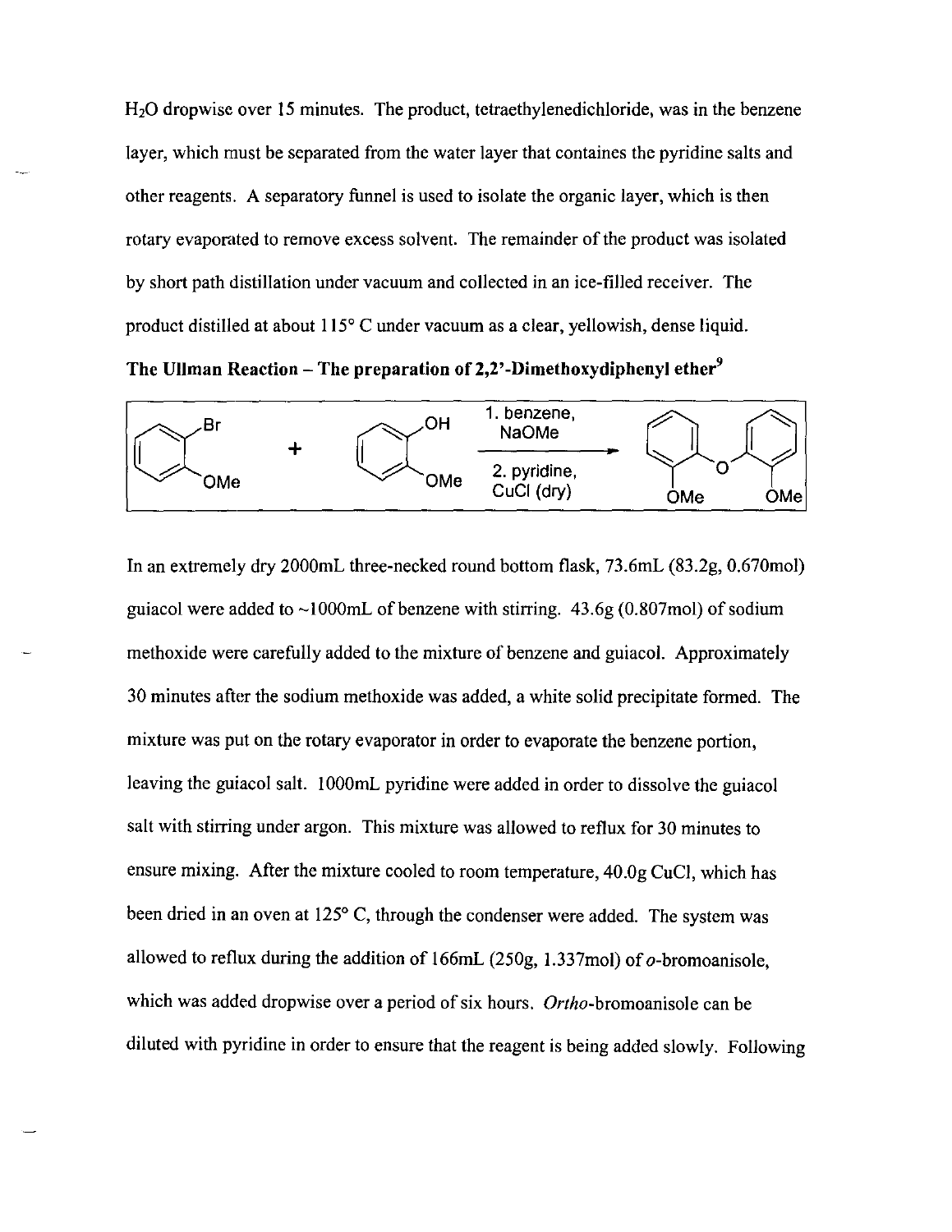H20 dropwise over IS minutes. The product, tetraethylenedichloride, was in the benzene layer, which must be separated from the water layer that containes the pyridine salts and other reagents. A separatory funnel is used to isolate the organic layer, which is then rotary evaporated to remove excess solvent. The remainder of the product was isolated by short path distillation under vacuum and collected in an ice-filled receiver. The product distilled at about  $115^{\circ}$  C under vacuum as a clear, yellowish, dense liquid.

The Ullman Reaction - The preparation of 2,2'-Dimethoxydiphenyl ether<sup>9</sup>



In an extremely dry 2000mL three-necked round bottom flask, 73.6mL (83.2g, 0.670mol) guiacol were added to  $\sim$ 1000mL of benzene with stirring. 43.6g (0.807mol) of sodium methoxide were carefully added to the mixture of benzene and guiacol. Approximately 30 minutes after the sodium methoxide was added, a white solid precipitate formed. The mixture was put on the rotary evaporator in order to evaporate the benzene portion, leaving the guiacol salt. 1000mL pyridine were added in order to dissolve the guiacol salt with stirring under argon. This mixture was allowed to reflux for 30 minutes to ensure mixing. After the mixture cooled to room temperature, 40.0g CuCl, which has been dried in an oven at  $125^{\circ}$  C, through the condenser were added. The system was allowed to reflux during the addition of I 66mL (250g, 1.337moi) of o-bromoanisole, which was added dropwise over a period of six hours. *Ortho-bromoanisole* can be diluted with pyridine in order to ensure that the reagent is being added slowly. Following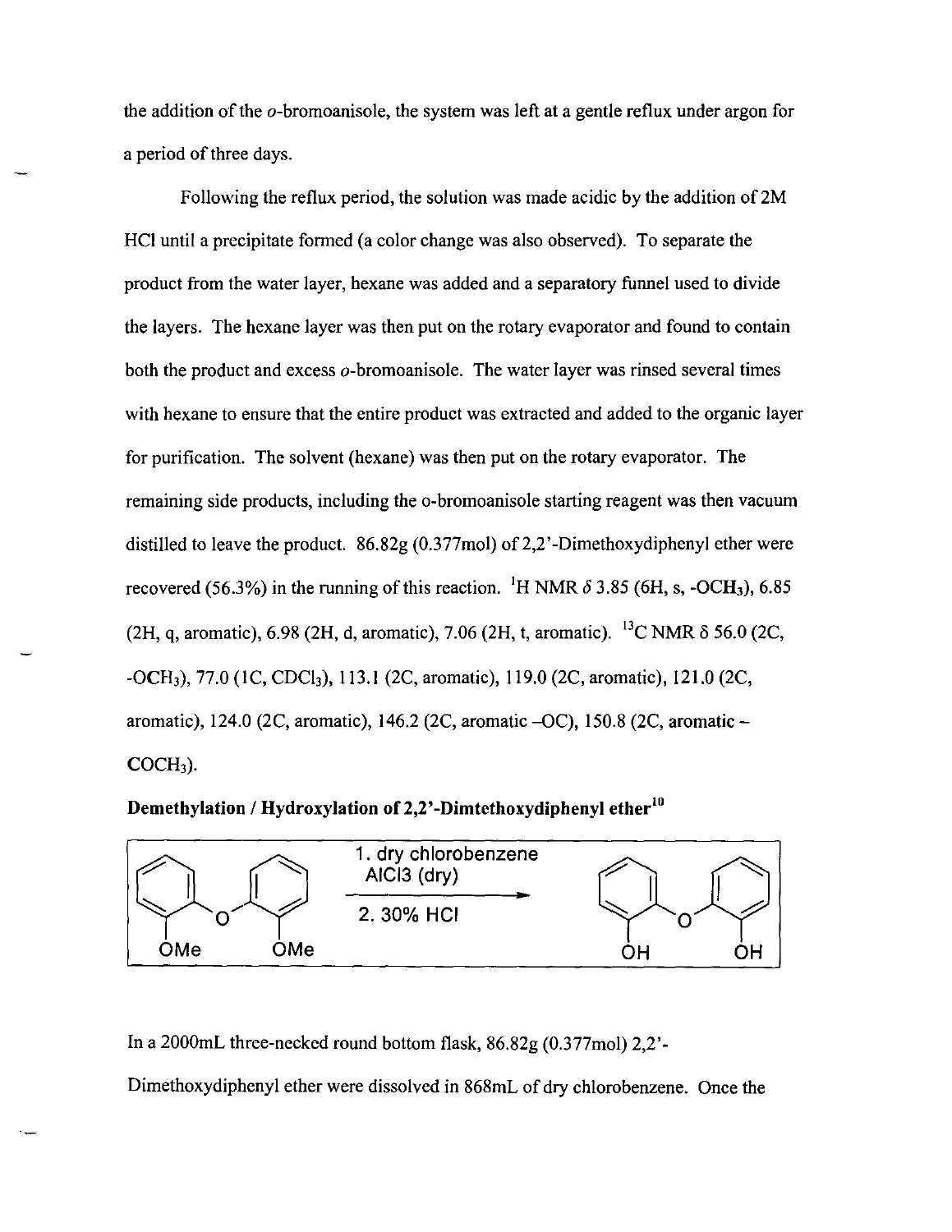the addition of the o-bromoanisole, the system was left at a gentle reflux under argon for a period of three days.

Following the reflux period, the solution was made acidic by the addition of 2M HCI until a precipitate formed (a color change was also observed). To separate the product from the water layer, hexane was added and a separatory funnel used to divide the layers. The hexane layer was then put on the rotary evaporator and found to contain both the product and excess  $o$ -bromoanisole. The water layer was rinsed several times with hexane to ensure that the entire product was extracted and added to the organic layer for purification. The solvent (hexane) was then put on the rotary evaporator. The remaining side products, including the o-bromoanisole starting reagent was then vacuum distilled to leave the product.  $86.82g(0.377mol)$  of 2,2'-Dimethoxydiphenyl ether were recovered (56.3%) in the running of this reaction. <sup>1</sup>H NMR  $\delta$  3.85 (6H, s, -OCH<sub>3</sub>), 6.85 (2H, q, aromatic), 6.98 (2H, d, aromatic), 7.06 (2H, t, aromatic). <sup>13</sup>C NMR  $\delta$  56.0 (2C, -OCH3), 77.0 (IC, CDCh), 113.1 (2C, aromatic), 119.0 (2C, aromatic), 121.0 (2C, aromatic), 124.0 (2C, aromatic), 146.2 (2C, aromatic -QC), 150.8 (2C, aromatic- $COCH<sub>3</sub>$ ).

Demethylation / Hydroxylation of 2,2'-Dimtethoxydiphenyl ether<sup>10</sup>



In a 2000mL three-necked round bottom flask, 86.82g (0.377mol) 2,2'-

Dimethoxydiphenyl ether were dissolved in 868mL of dry chlorobenzene. Once the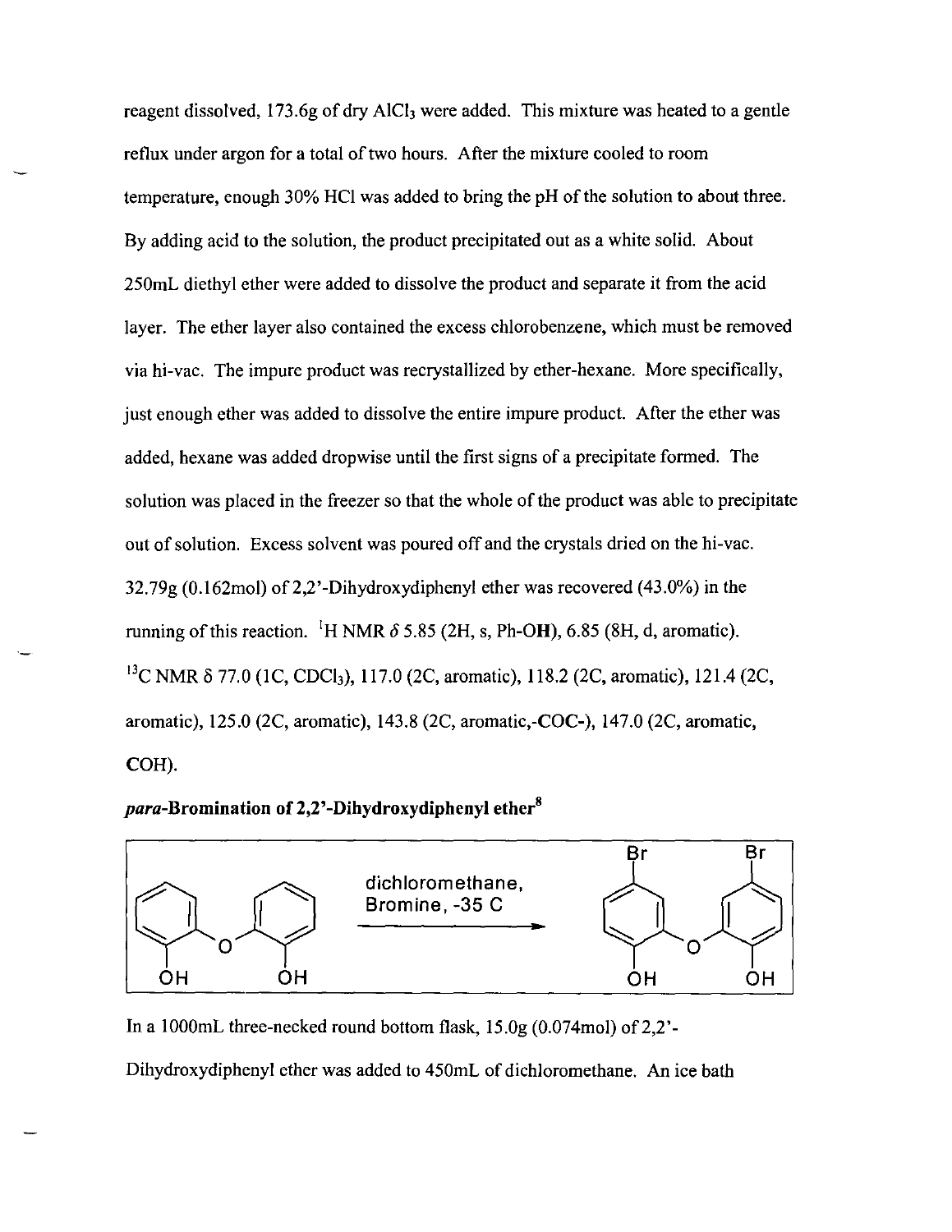reagent dissolved, 173.6g of dry AlC<sub>l</sub> were added. This mixture was heated to a gentle reflux under argon for a total of two hours. After the mixture cooled to room temperature, enough 30% HCl was added to bring the pH of the solution to about three. By adding acid to the solution, the product precipitated out as a white solid. About 250mL diethyl ether were added to dissolve the product and separate it from the acid layer. The ether layer also contained the excess chlorobenzene, which must be removed via hi-vac. The impure product was recrystallized by ether-hexane. More specifically, just enough ether was added to dissolve the entire impure product. After the ether was added, hexane was added dropwise until the first signs of a precipitate formed. The solution was placed in the freezer so that the whole of the product was able to precipitate out of solution. Excess solvent was poured off and the crystals dried on the hi-vac.  $32.79g (0.162mol)$  of 2.2'-Dihydroxydiphenyl ether was recovered (43.0%) in the running of this reaction. <sup>I</sup>H NMR  $\delta$  5.85 (2H, s, Ph-OH), 6.85 (8H, d, aromatic). <sup>13</sup>C NMR δ 77.0 (1C, CDCl<sub>3</sub>), 117.0 (2C, aromatic), 118.2 (2C, aromatic), 121.4 (2C, aromatic), 125.0 (2C, aromatic), 143.8 (2C, aromatic,-COC-), 147.0 (2C, aromatic, COH).

## *para-Bromination* **of 2,2'-Dihydroxydiphenyl ether<sup>8</sup>**



In a 1000mL three-necked round bottom flask,  $15.0g(0.074 \text{mol})$  of  $2.2'$ -Dihydroxydiphenyl ether was added to 450mL of dichloromethane. An ice bath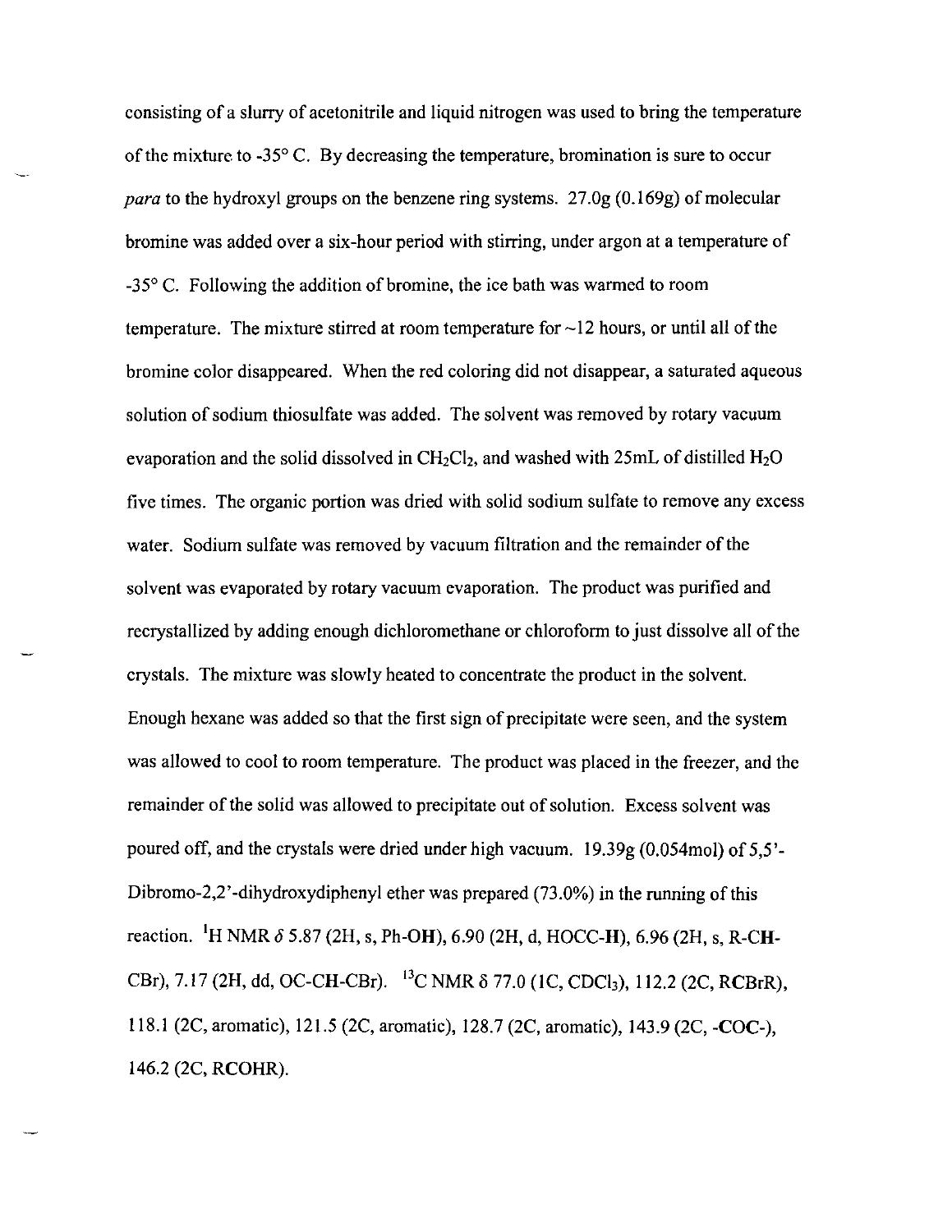consisting of a slurry of acetonitrile and liquid nitrogen was used to bring the temperature of the mixture to  $-35^{\circ}$  C. By decreasing the temperature, bromination is sure to occur *para* to the hydroxyl groups on the benzene ring systems. 27.0g (0.169g) of molecular bromine was added over a six-hour period with stirring, under argon at a temperature of \_350 C. Following the addition of bromine, the ice bath was warmed to room temperature. The mixture stirred at room temperature for  $\sim$ 12 hours, or until all of the bromine color disappeared. When the red coloring did not disappear, a saturated aqueous solution of sodium thiosulfate was added. The solvent was removed by rotary vacuum evaporation and the solid dissolved in  $CH_2Cl_2$ , and washed with 25mL of distilled  $H_2O$ five times. The organic portion was dried with solid sodium sulfate to remove any excess water. Sodium sulfate was removed by vacuum filtration and the remainder of the solvent was evaporated by rotary vacuum evaporation. The product was purified and recrystallized by adding enough dichloromethane or chloroform to just dissolve all of the crystals. The mixture was slowly heated to concentrate the product in the solvent. Enough hexane was added so that the first sign of precipitate were seen, and the system was allowed to cool to room temperature. The product was placed in the freezer, and the remainder of the solid was allowed to precipitate out of solution. Excess solvent was poured off, and the crystals were dried under high vacuum. 19.39g (0.054mol) of 5,5'- Dibromo-2,2'-dihydroxydiphenyl ether was prepared (73.0%) in the running of this reaction. 'H NMR *0* 5.87 (2H, s, Ph-OH), 6.90 (2H, d, HOCC-H), 6.96 (2H, s, R-CH-CBr), 7.17 (2H, dd, OC-CH-CBr). <sup>13</sup>C NMR δ 77.0 (1C, CDCl<sub>3</sub>), 112.2 (2C, RCBrR), 118.1 (2C, aromatic), 121.5 (2C, aromatic), 128.7 (2C, aromatic), 143.9 (2C, -COC-), 146.2 (2C, RCOHR).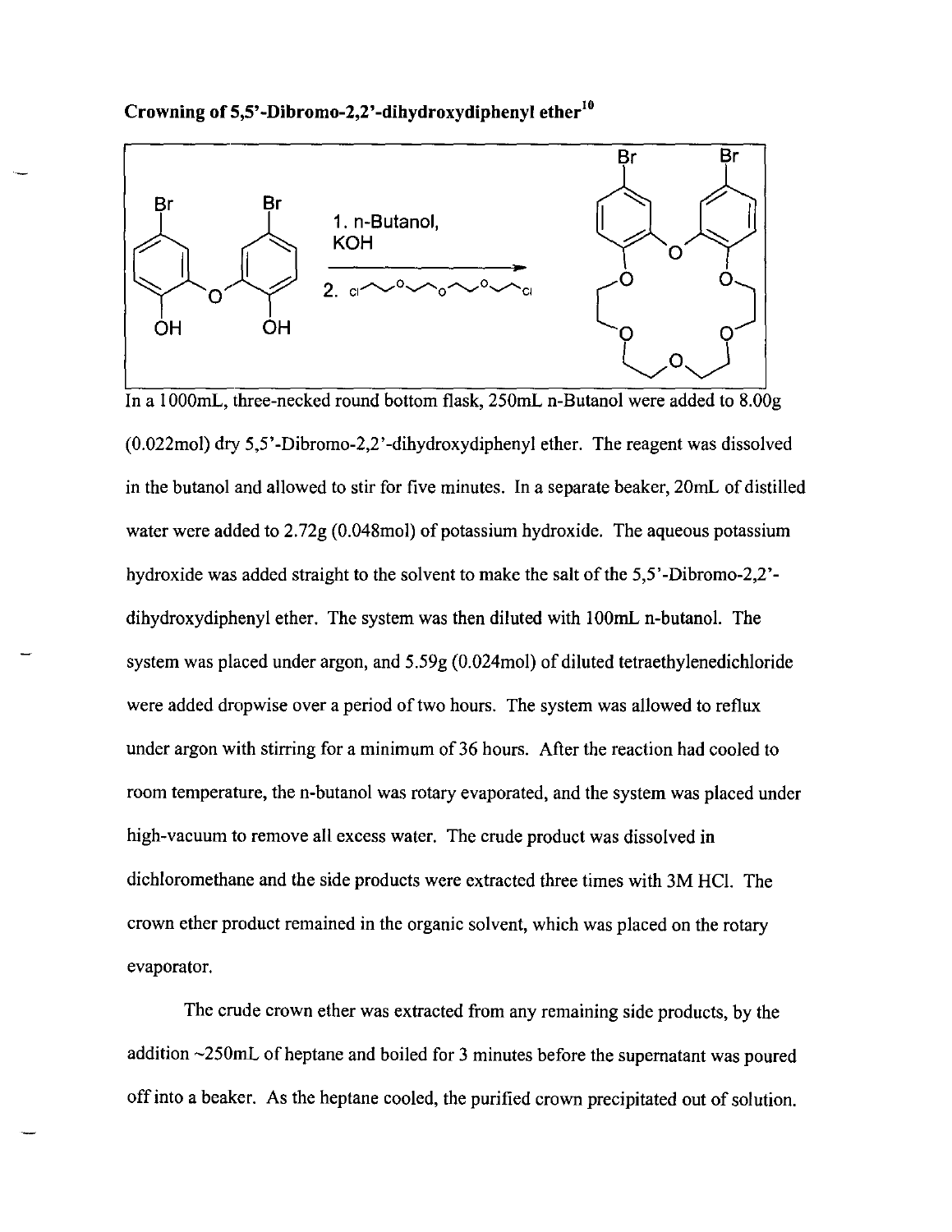**Crowning of S,S'-Dibromo-2,2'-dihydroxydiphenyl ether<sup>10</sup>**



(O.022mol) dry 5,5'-Dibromo-2,2'-dihydroxydiphenyl ether. The reagent was dissolved in the butanol and allowed to stir for five minutes. In a separate beaker, 20mL of distilled water were added to 2.72g (0.048mol) of potassium hydroxide. The aqueous potassium hydroxide was added straight to the solvent to make the salt of the 5,5'-Dibromo-2,2' dihydroxydiphenyl ether. The system was then diluted with IOOmL n-butano!. The system was placed under argon, and 5.59g (O.024mol) of diluted tetraethylenedichloride were added dropwise over a period of two hours. The system was allowed to reflux under argon with stirring for a minimum of 36 hours. After the reaction had cooled to room temperature, the n-butanol was rotary evaporated, and the system was placed under high-vacuum to remove all excess water. The crude product was dissolved in dichloromethane and the side products were extracted three times with 3M HC!. The crown ether product remained in the organic solvent, which was placed on the rotary evaporator.

The crude crown ether was extracted from any remaining side products, by the addition -250mL of heptane and boiled for 3 minutes before the supernatant was poured off into a beaker. As the heptane cooled, the purified crown precipitated out of solution.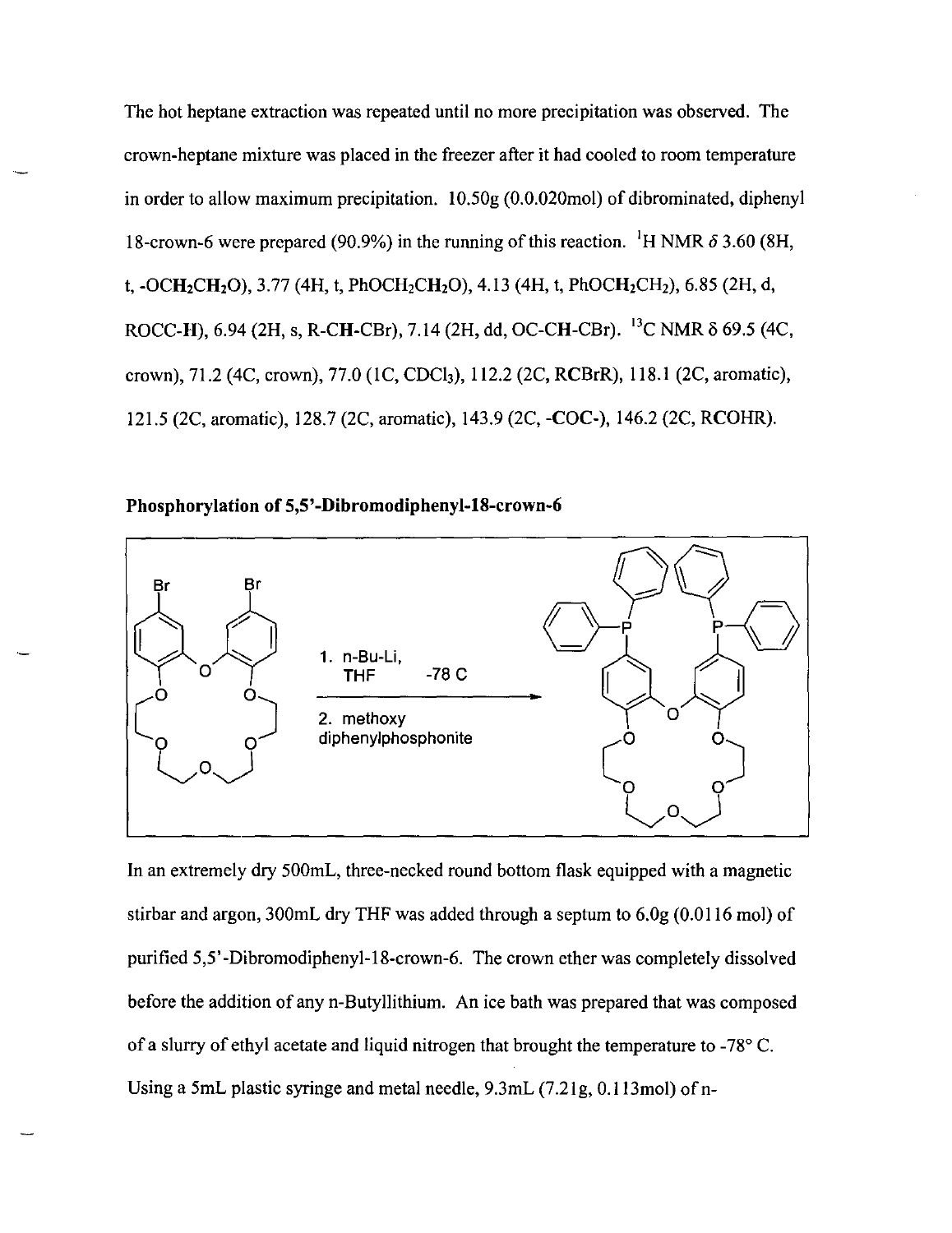The hot heptane extraction was repeated until no more precipitation was observed. The crown-heptane mixture was placed in the freezer after it had cooled to room temperature in order to allow maximum precipitation. 10.50g (0.0.020mol) of dibrominated, diphenyl 18-crown-6 were prepared (90.9%) in the running of this reaction. <sup>1</sup>H NMR  $\delta$  3.60 (8H, t,  $-OCH_2CH_2O$ ), 3.77 (4H, t, PhOCH<sub>2</sub>CH<sub>2</sub>O), 4.13 (4H, t, PhOCH<sub>2</sub>CH<sub>2</sub>), 6.85 (2H, d, ROCC-H), 6.94 (2H, s, R-CH-CBr), 7.14 (2H, dd, OC-CH-CBr). <sup>13</sup>C NMR  $\delta$  69.5 (4C, crown), 71.2 (4C, crown), 77.0 (1C, CDCl<sub>3</sub>), 112.2 (2C, RCBrR), 118.1 (2C, aromatic), 121.5 (2C, aromatic), 12S.7 (2C, aromatic), 143.9 (2C, -COC-), 146.2 (2C, RCOHR).

**Phosphorylation of 5,5'-Dibromodiphenyl-18-crown-6** 



In an extremely dry 500mL, three-necked round bottom flask equipped with a magnetic stirbar and argon, 300mL dry THF was added through a septum to 6.0g (0.0116 mol) of purified 5,5' -Dibromodiphenyl-IS-crown-6. The crown ether was completely dissolved before the addition of any n-Butyllithium. An ice bath was prepared that was composed of a slurry of ethyl acetate and liquid nitrogen that brought the temperature to  $-78^{\circ}$  C. Using a 5mL plastic syringe and metal needle, 9.3mL (7.21g, 0.113mol) of n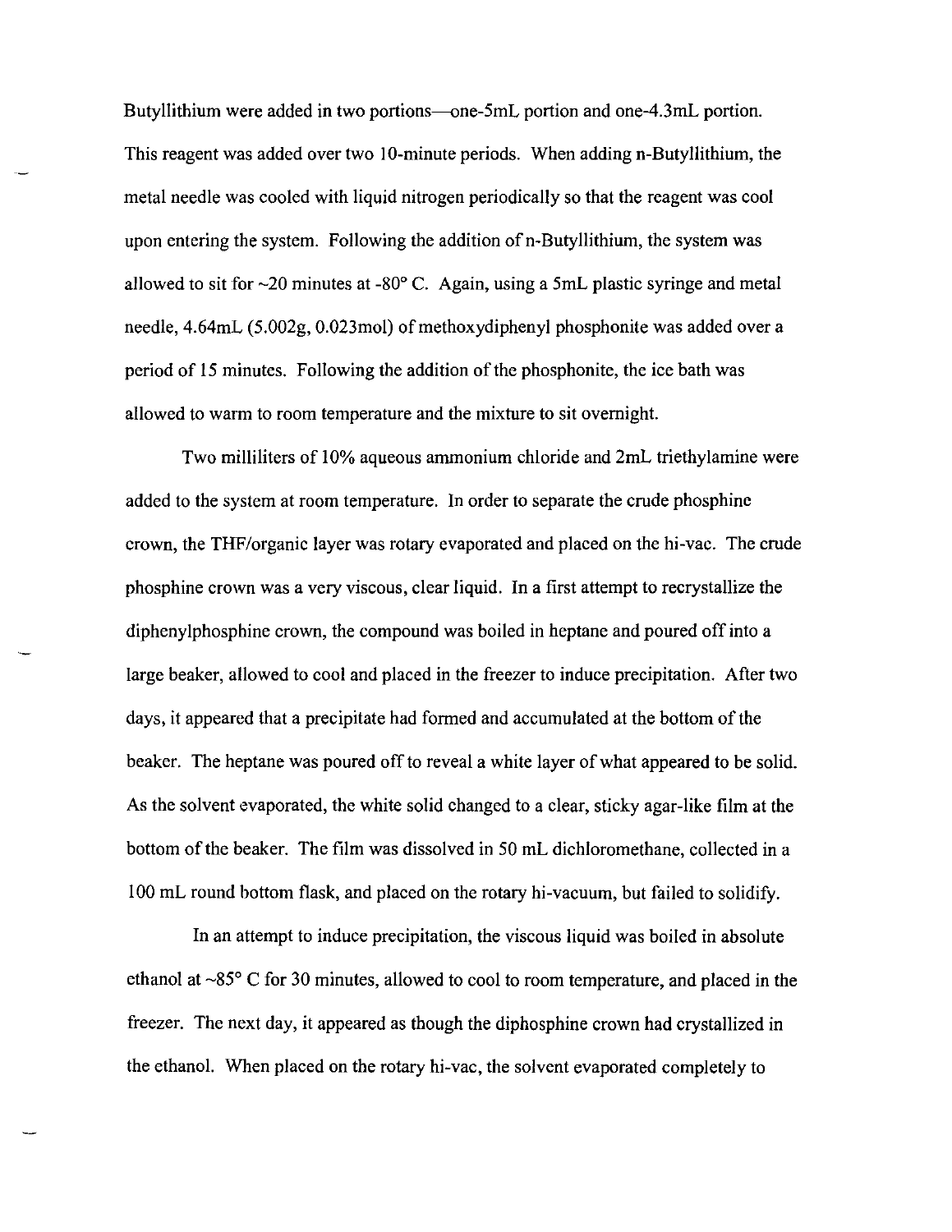Butyllithium were added in two portions-one-5mL portion and one-4.3mL portion. This reagent was added over two 10-minute periods. When adding n-Butyllithium, the metal needle was cooled with liquid nitrogen periodically so that the reagent was cool upon entering the system. Following the addition of n-Butyllithium, the system was allowed to sit for  $\sim$ 20 minutes at -80 $^{\circ}$  C. Again, using a 5mL plastic syringe and metal needle,  $4.64$ mL  $(5.002g, 0.023$ mol) of methoxydiphenyl phosphonite was added over a period of 15 minutes. Following the addition of the phosphonite, the ice bath was allowed to warm to room temperature and the mixture to sit overnight.

Two milliliters of 10% aqueous ammonium chloride and 2mL triethylamine were added to the system at room temperature. **In** order to separate the crude phosphine crown, the THF/organic layer was rotary evaporated and placed on the hi-vac. The crude phosphine crown was a very viscous, clear liquid. In a first attempt to recrystallize the diphenylphosphine crown, the compound was boiled in heptane and poured off into a large beaker, allowed to cool and placed in the freezer to induce precipitation. After two days, it appeared that a precipitate had formed and accumulated at the bottom of the beaker. The heptane was poured off to reveal a white layer of what appeared to be solid. As the solvent evaporated, the white solid changed to a clear, sticky agar-like film at the bottom of the beaker. The film was dissolved in 50 mL dichloromethane, collected in a 100 mL round bottom flask, and placed on the rotary hi-vacuum, but failed to solidify.

**In** an attempt to induce precipitation, the viscous liquid was boiled in absolute ethanol at  $\sim85^{\circ}$  C for 30 minutes, allowed to cool to room temperature, and placed in the freezer. The next day, it appeared as though the diphosphine crown had crystallized in the ethanol. When placed on the rotary hi-vac, the solvent evaporated completely to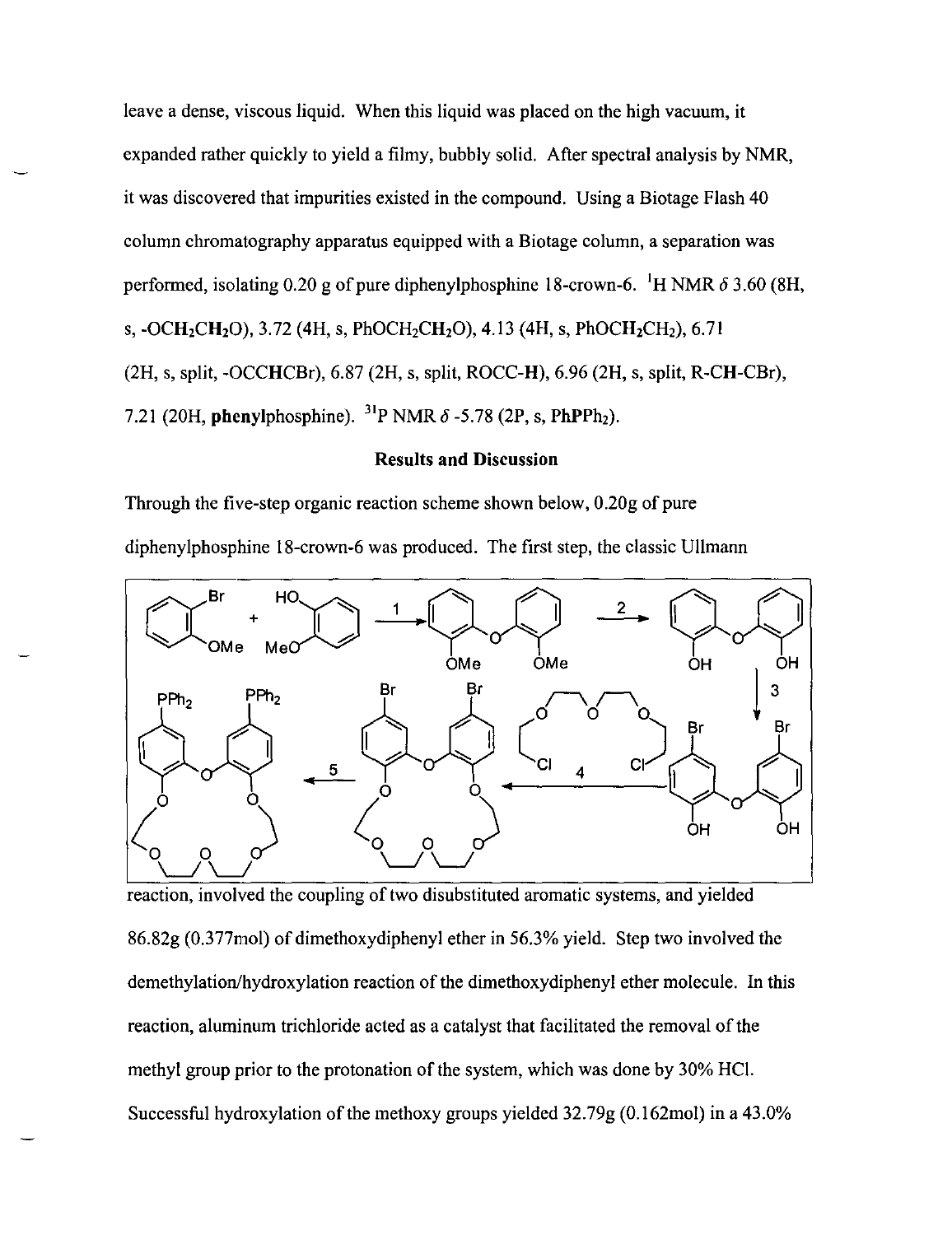leave a dense, viscous liquid. When this liquid was placed on the high vacuum, it expanded rather quickly to yield a filmy, bubbly solid. After spectral analysis by NMR, it was discovered that impurities existed in the compound. Using a Biotage Flash 40 column chromatography apparatus equipped with a Biotage column, a separation was performed, isolating 0.20 g of pure diphenylphosphine 18-crown-6. <sup>1</sup>H NMR  $\delta$  3.60 (8H, s, -OCH<sub>2</sub>CH<sub>2</sub>O), 3.72 (4H, s, PhOCH<sub>2</sub>CH<sub>2</sub>O), 4.13 (4H, s, PhOCH<sub>2</sub>CH<sub>2</sub>), 6.71 (2H, s, split, -OCCHCBr), 6.87 (2H, s, split, ROCC-H), 6.96 (2H, s, split, R-CH-CBr), 7.21 (20H, phenylphosphine).  $^{31}P$  NMR  $\delta$  -5.78 (2P, s, PhPPh<sub>2</sub>).

## **Results and Discussion**

Through the five-step organic reaction scheme shown below, 0.20g of pure diphenylphosphine 18-crown-6 was produced. The first step, the classic Ullmann



reaction, involved the coupling of two disubstituted aromatic systems, and yielded 86.82g (0.377mol) of dimethoxydiphenyl ether in 56.3% yield. Step two involved the demethylation/hydroxylation reaction of the dimethoxydiphenyl ether molecule. In this reaction, aluminum trichloride acted as a catalyst that facilitated the removal of the methyl group prior to the protonation of the system, which was done by 30% HC!. Successful hydroxylation of the methoxy groups yielded 32.79g (0. 162mol) in a 43.0%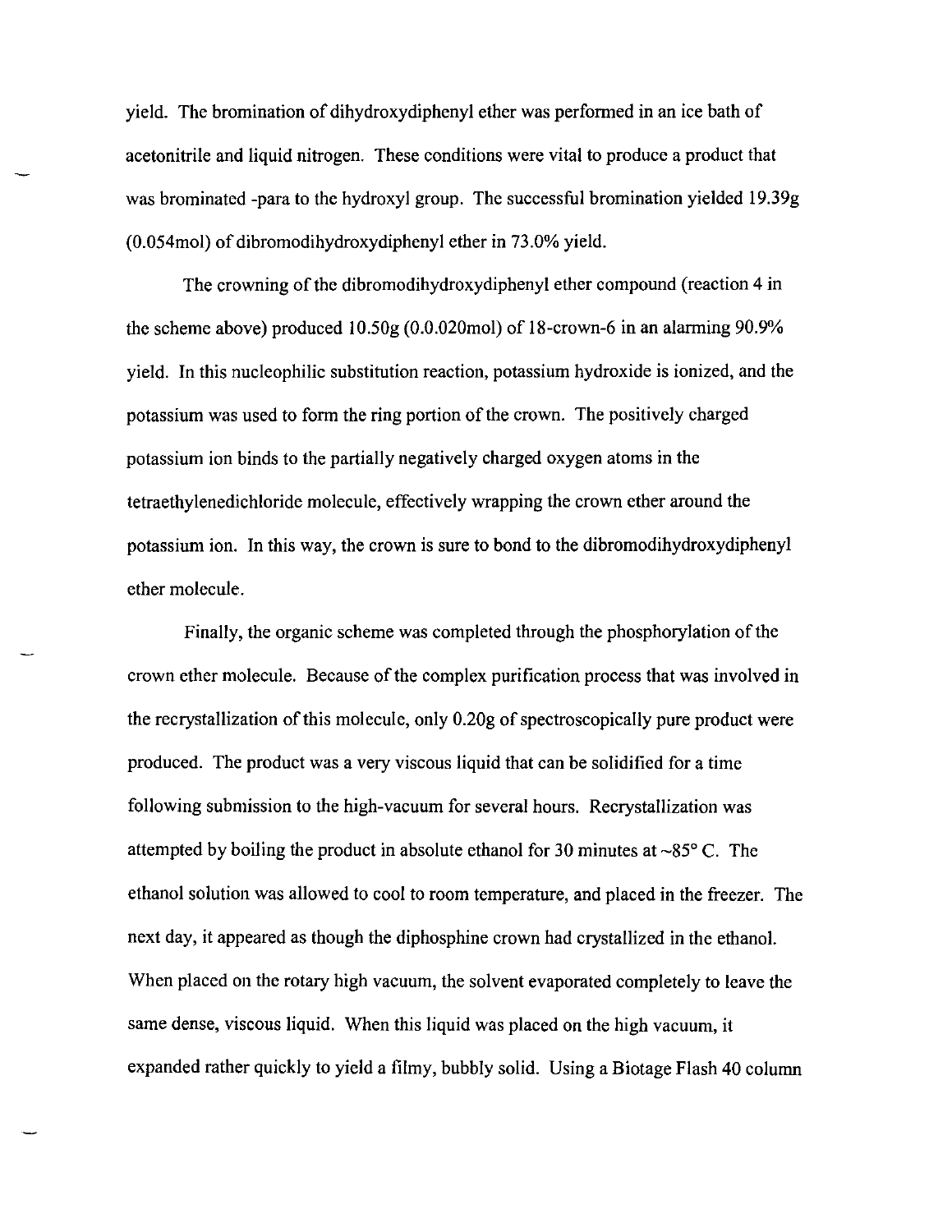yield. The bromination of dihydroxydiphenyl ether was performed in an ice bath of acetonitrile and liquid nitrogen. These conditions were vital to produce a product that was brominated -para to the hydroxyl group. The successful bromination yielded 19.39g (0.054mol) of dibromodihydroxydiphenyl ether in 73.0% yield.

The crowning of the dibromodihydroxydiphenyl ether compound (reaction 4 in the scheme above) produced 10.50g (0.0.020mol) of l8-crown-6 in an alarming 90.9% yield. In this nucleophilic substitution reaction, potassium hydroxide is ionized, and the potassium was used to form the ring portion of the crown. The positively charged potassium ion binds to the partially negatively charged oxygen atoms in the tetraethylenedichloride molecule, effectively wrapping the crown ether around the potassium ion. In this way, the crown is sure to bond to the dibromodihydroxydiphenyl ether molecule.

Finally, the organic scheme was completed through the phosphorylation of the crown ether molecule. Because of the complex purification process that was involved in the recrystallization of this molecule, only 0.20g of spectroscopically pure product were produced. The product was a very viscous liquid that can be solidified for a time following submission to the high-vacuum for several hours. Recrystallization was attempted by boiling the product in absolute ethanol for 30 minutes at  $\sim85^{\circ}$  C. The ethanol solution was allowed to cool to room temperature, and placed in the freezer. The next day, it appeared as though the diphosphine crown had crystallized in the ethanol. When placed on the rotary high vacuum, the solvent evaporated completely to leave the same dense, viscous liquid. When this liquid was placed on the high vacuum, it expanded rather quickly to yield a filmy, bubbly solid. Using a Biotage Flash 40 column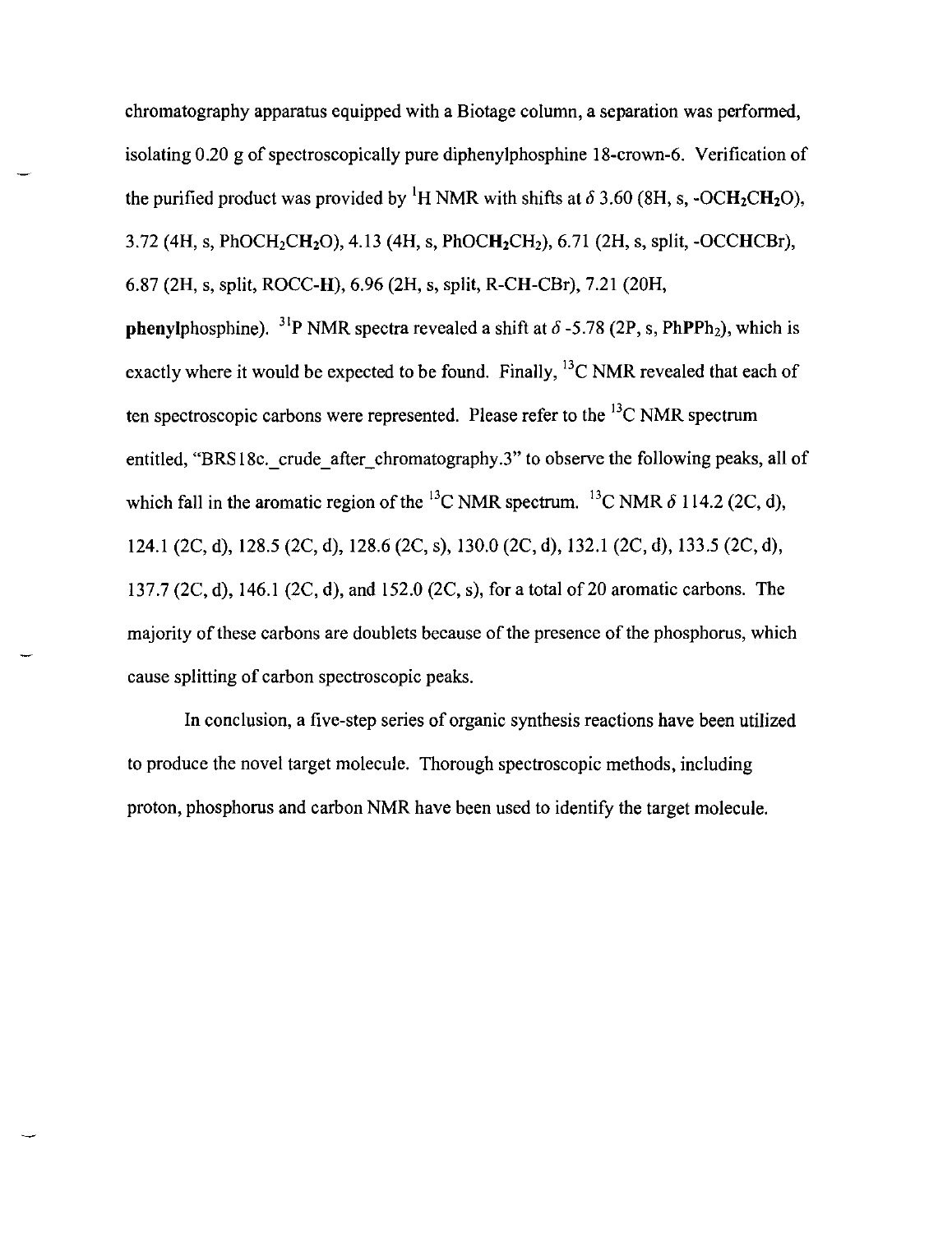chromatography apparatus equipped with a Biotage column, a separation was performed, isolating 0.20 g of spectroscopically pure diphenylphosphine 18-crown-6. Verification of the purified product was provided by <sup>1</sup>H NMR with shifts at  $\delta$  3.60 (8H, s, -OCH<sub>2</sub>CH<sub>2</sub>O), 3.72 (4H, s, PhOCH<sub>2</sub>CH<sub>2</sub>O), 4.13 (4H, s, PhOCH<sub>2</sub>CH<sub>2</sub>), 6.71 (2H, s, split, -OCCHCBr), 6.87 (2H, s, split, ROCC-H), 6.96 (2H, s, split, R-CH-CBr), 7.21 (20H, **phenylphosphine).** <sup>31</sup>P NMR spectra revealed a shift at  $\delta$  -5.78 (2P, s, PhPPh<sub>2</sub>), which is exactly where it would be expected to be found. Finally,  $^{13}$ C NMR revealed that each of ten spectroscopic carbons were represented. Please refer to the  $^{13}$ C NMR spectrum entitled, "BRS18c. crude after chromatography.3" to observe the following peaks, all of which fall in the aromatic region of the <sup>13</sup>C NMR spectrum. <sup>13</sup>C NMR  $\delta$  114.2 (2C, d), 124.1 (2C, d), 128.5 (2C, d), 128.6 (2C, s), 130.0 (2C, d), 132.1 (2C, d), 133.5 (2C, d), 137.7 (2C, d), 146.1 (2C, d), and 152.0 (2C, s), for a total of 20 aromatic carbons. The majority of these carbons are doublets because of the presence of the phosphorus, which cause splitting of carbon spectroscopic peaks.

In conclusion, a five-step series of organic synthesis reactions have been utilized to produce the novel target molecule. Thorough spectroscopic methods, including proton, phosphorus and carbon NMR have been used to identify the target molecule.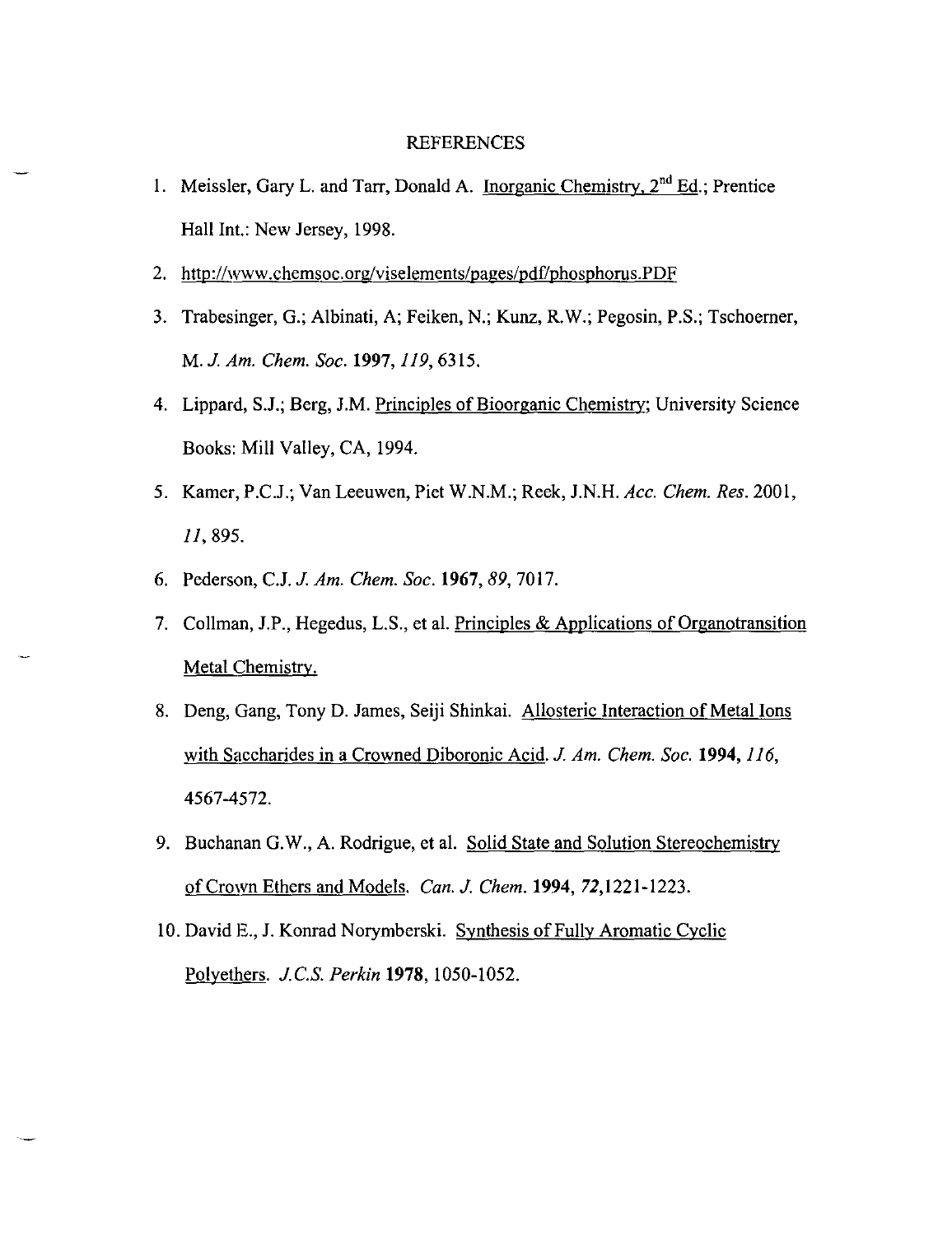### REFERENCES

- 1. Meissler, Gary L. and Tarr, Donald A. Inorganic Chemistry,  $2<sup>nd</sup> Ed$ .; Prentice Hall Int.: New Jersey, 1998.
- 2. http://www.chemsoc.org/viselements/pages/pdf/phosphorus.PDF
- 3. Trabesinger, G.; Albinati, A; Feiken, N.; Kunz, R.W.; Pegosin, P.S.; Tschoemer, M. J. *Am. Chern. Soc.* **1997,** 119, 6315.
- 4. Lippard, S.1.; Berg, J.M. Principles of Bioorganic Chemistry: University Science Books: Mill Valley, CA, 1994.
- 5. Kamer, P.C.J.; Van Leeuwen, Piet W.N.M.; Reek, J.N.H. *Acc. Chern. Res. 2001,*  11,895.
- 6. Pederson, C.1. J. *Am. Chern. Soc.* **1967,89,7017.**
- 7. Collman, J.P., Hegedus, L.S., et al. Principles & Applications of Organotransition Metal Chemistry.
- 8. Deng, Gang, Tony D. James, Seiji Shinkai. Allosteric Interaction of Metal Ions with Saccharides in a Crowned Diboronic Acid. J. *Am. Chern. Soc.* **1994,** 116, 4567-4572.
- 9. Buchanan G.W., A. Rodrigue, et al. Solid State and Solution Stereochemistry of Crown Ethers and Models. *Can.* J. *Chern.* **1994,** 72,1221-1223.
- 10. David E., J. Konrad Norymberski. Synthesis of Fully Aromatic Cyclic Polyethers. J. c.s. *Perkin* **1978,** 1050-1052.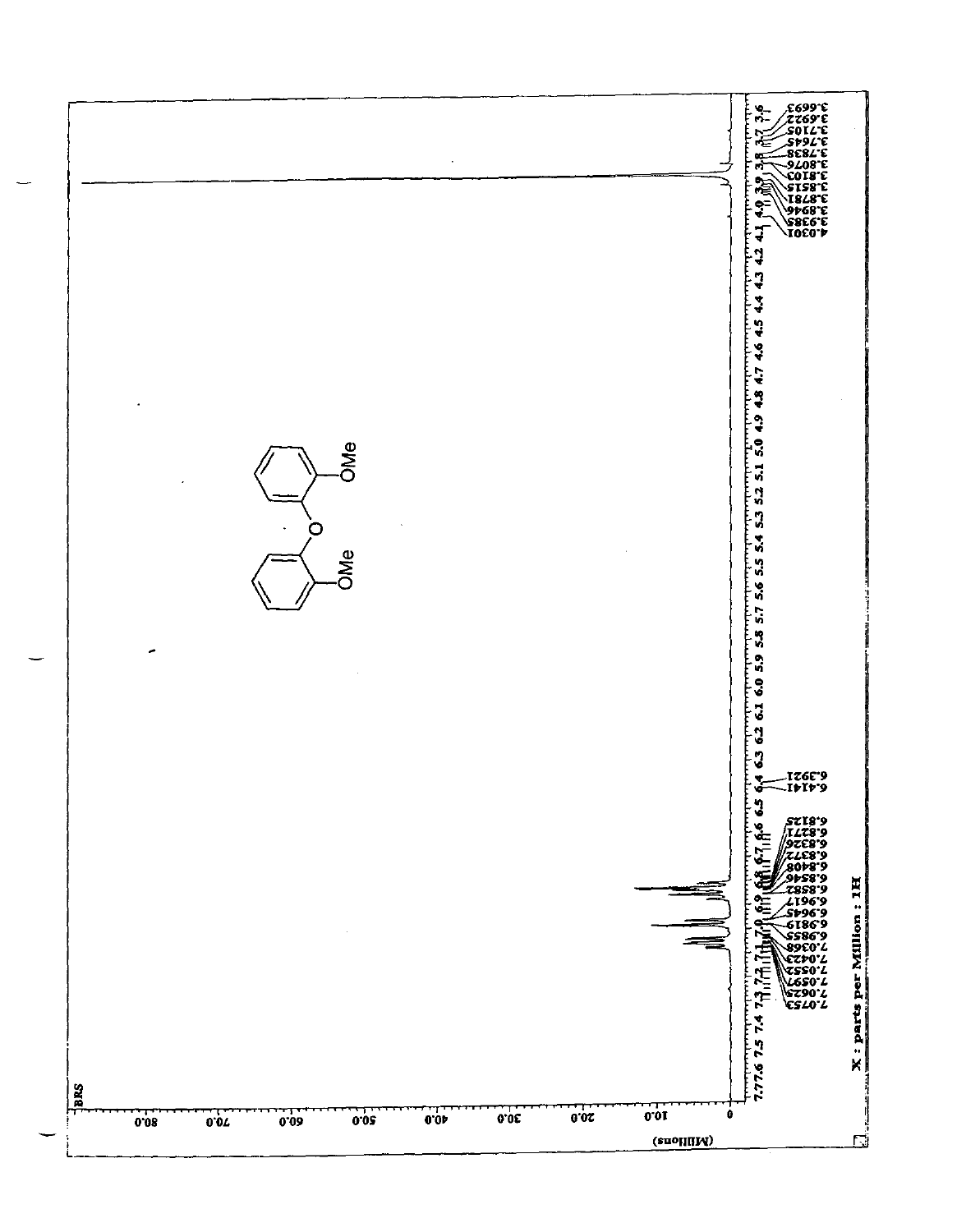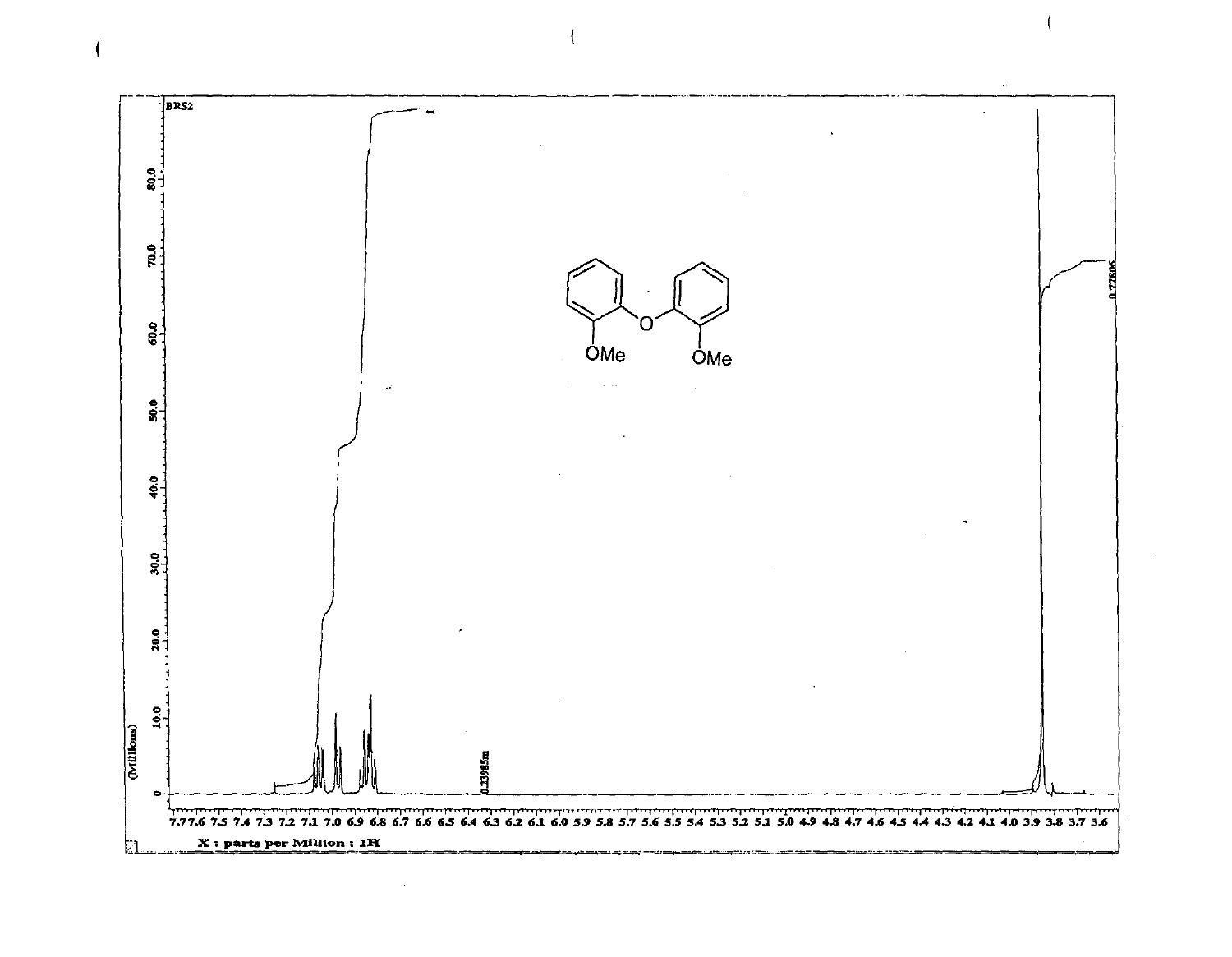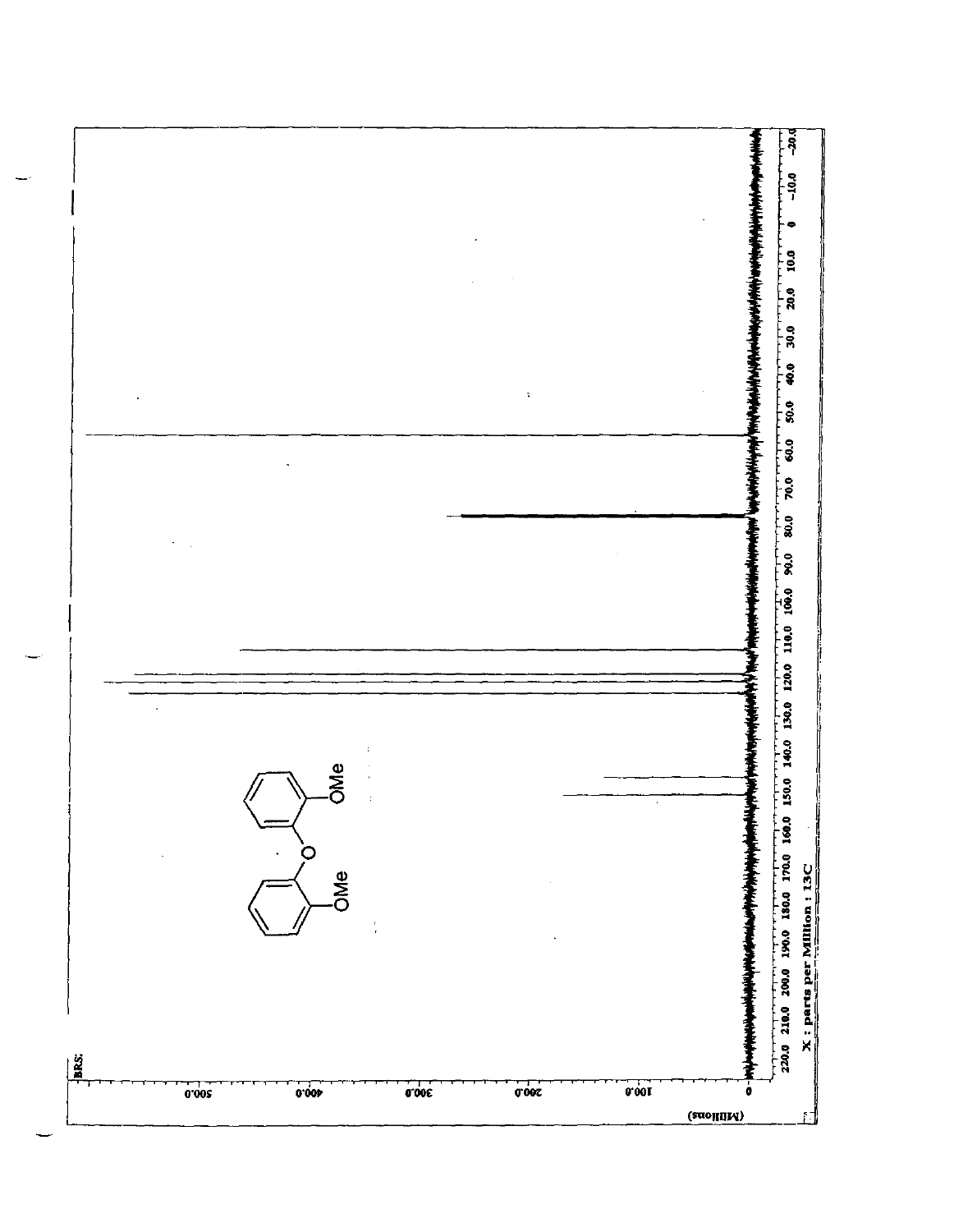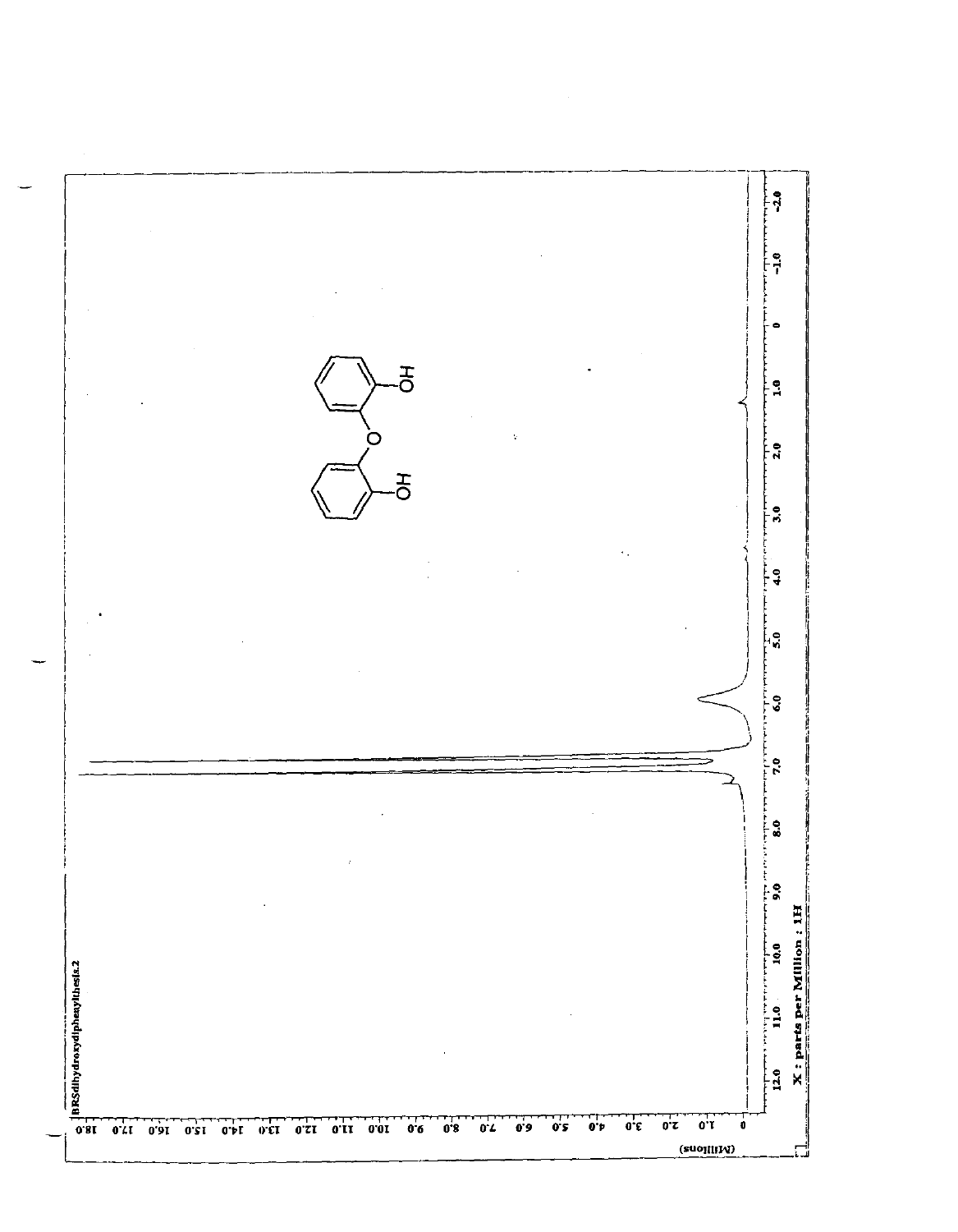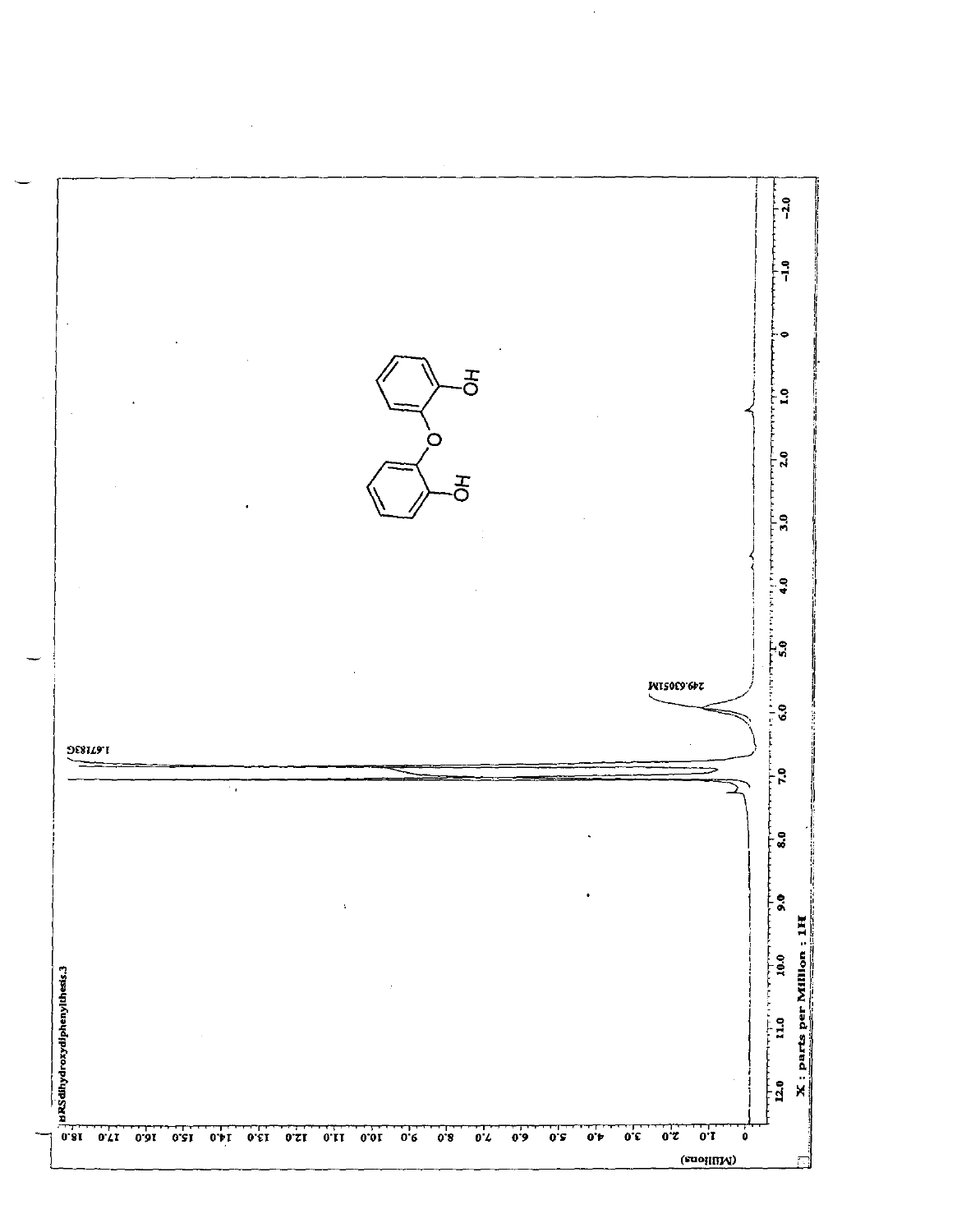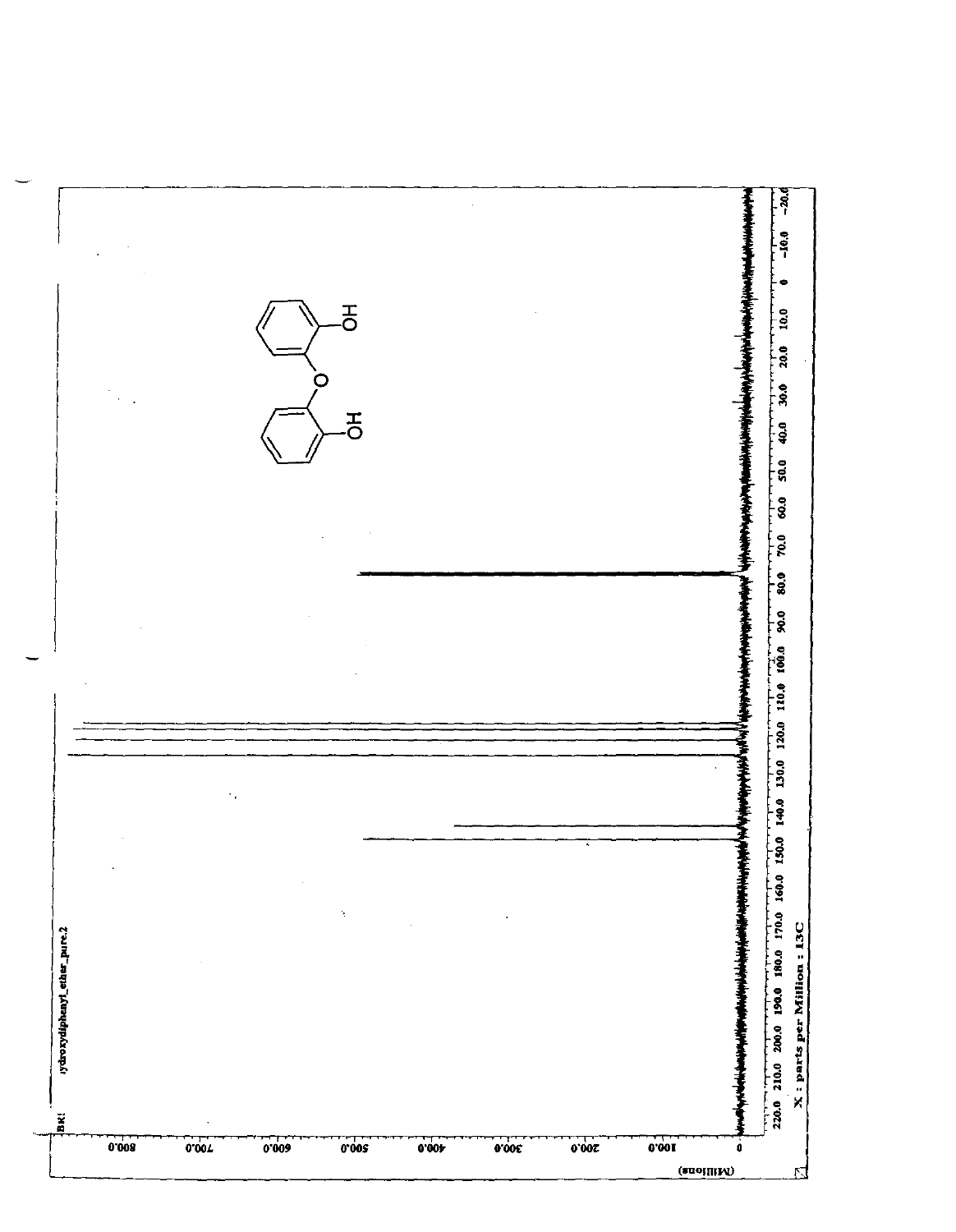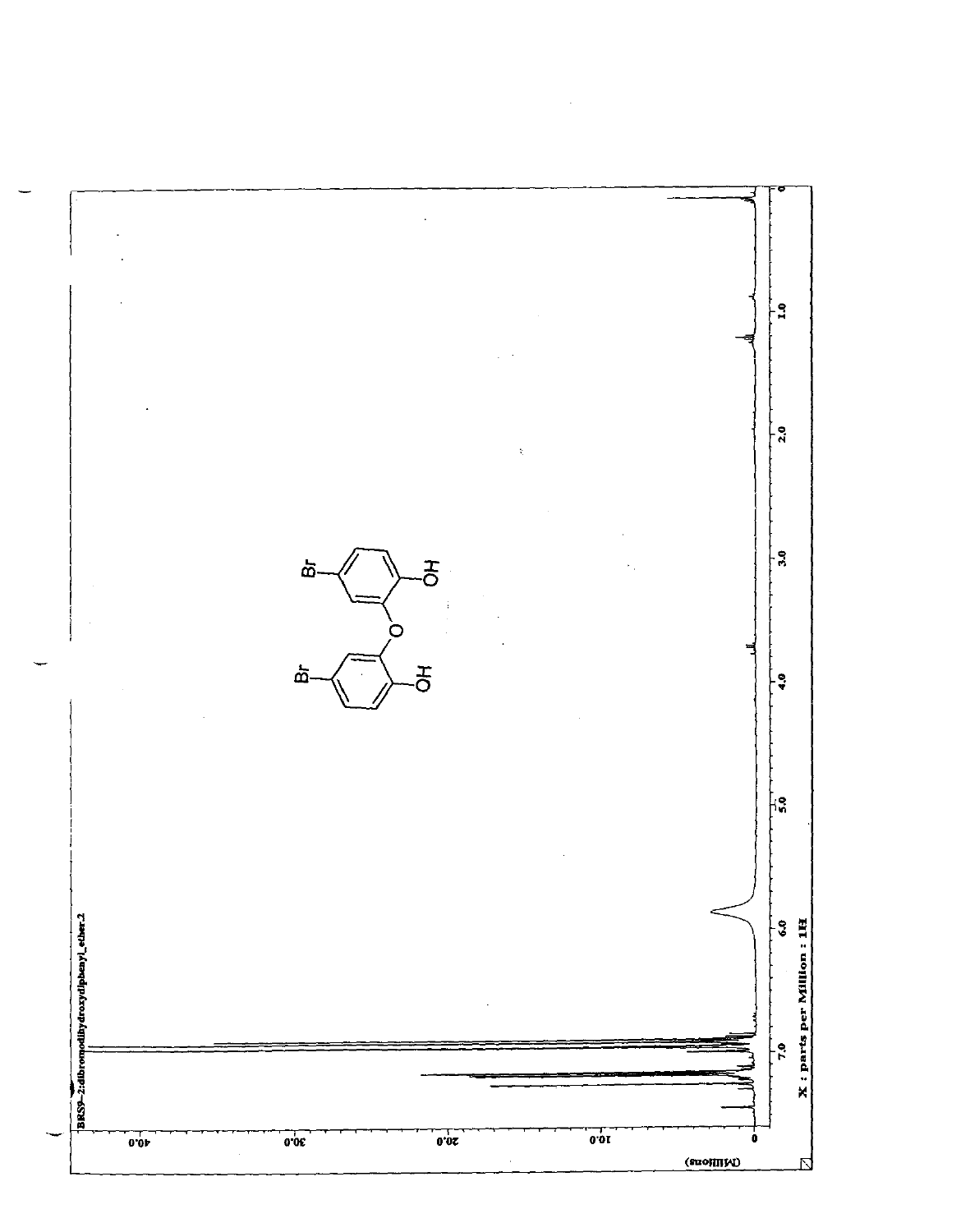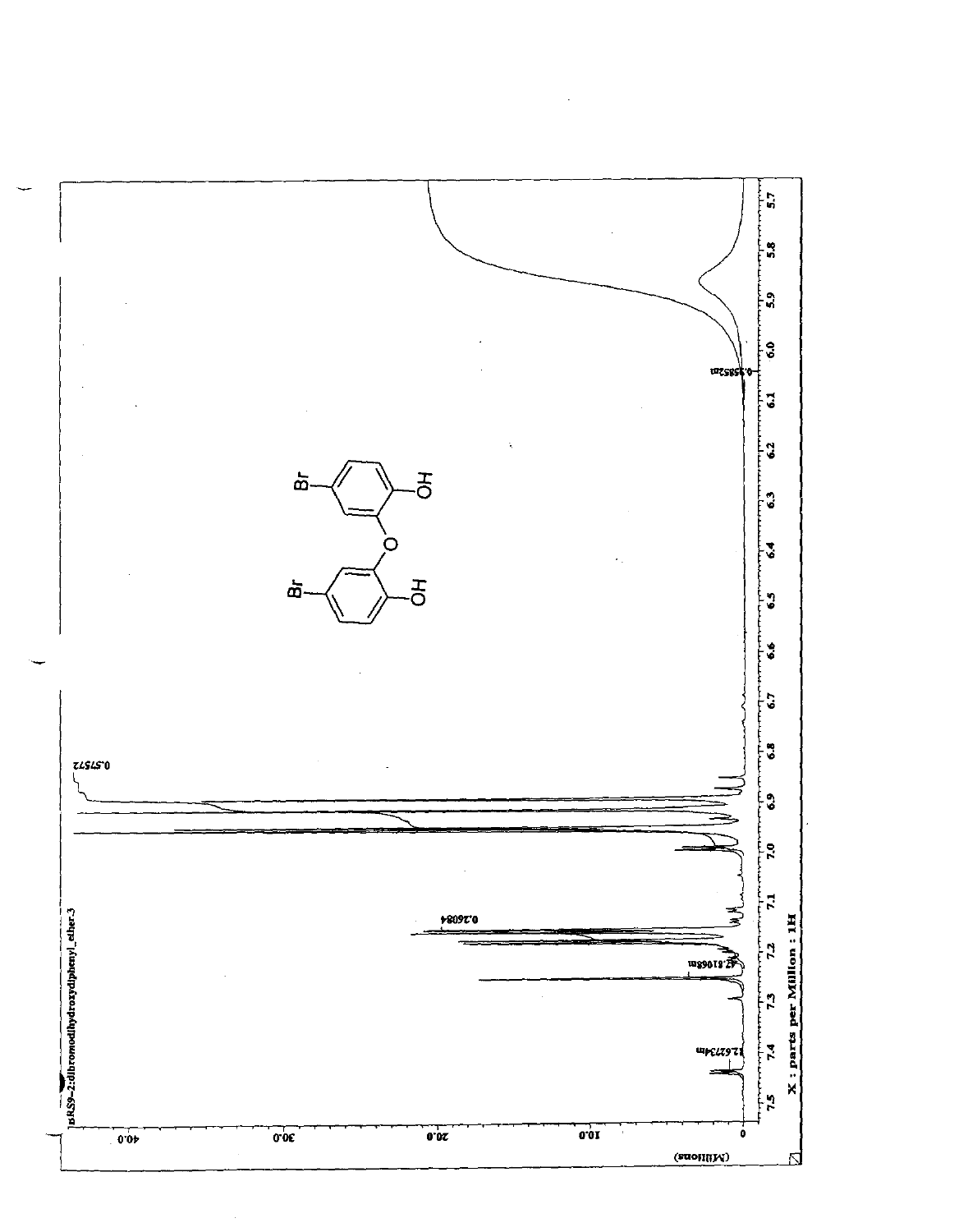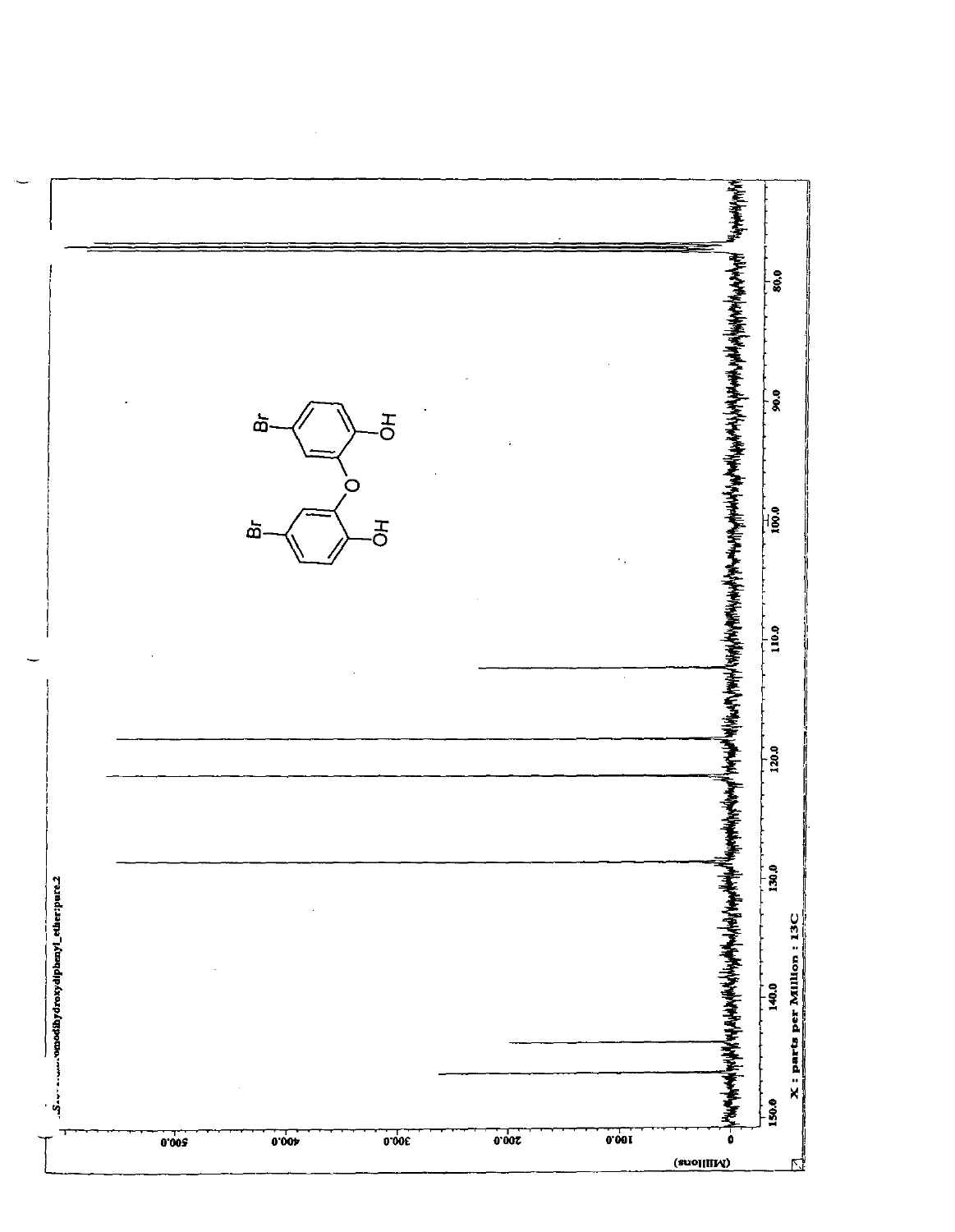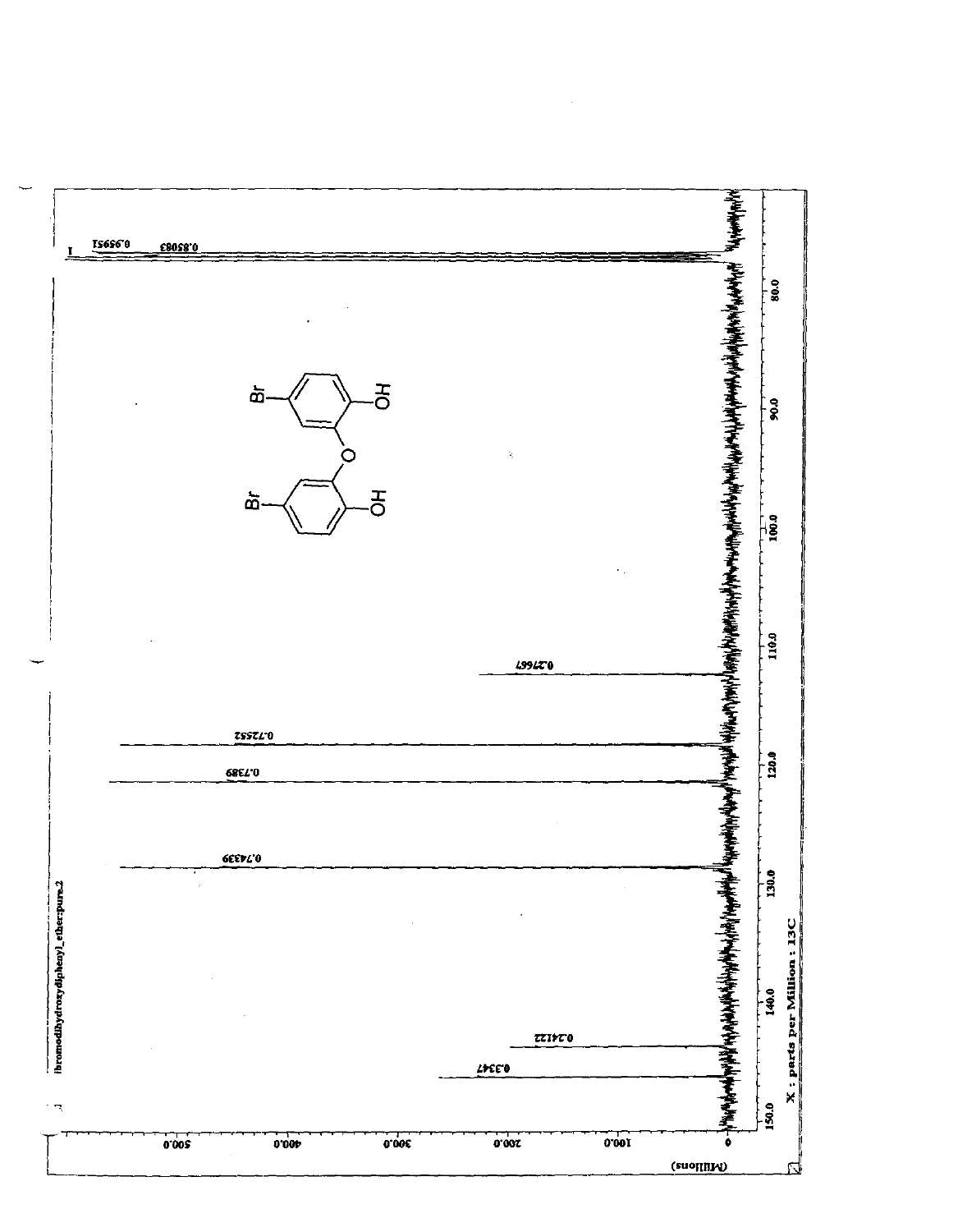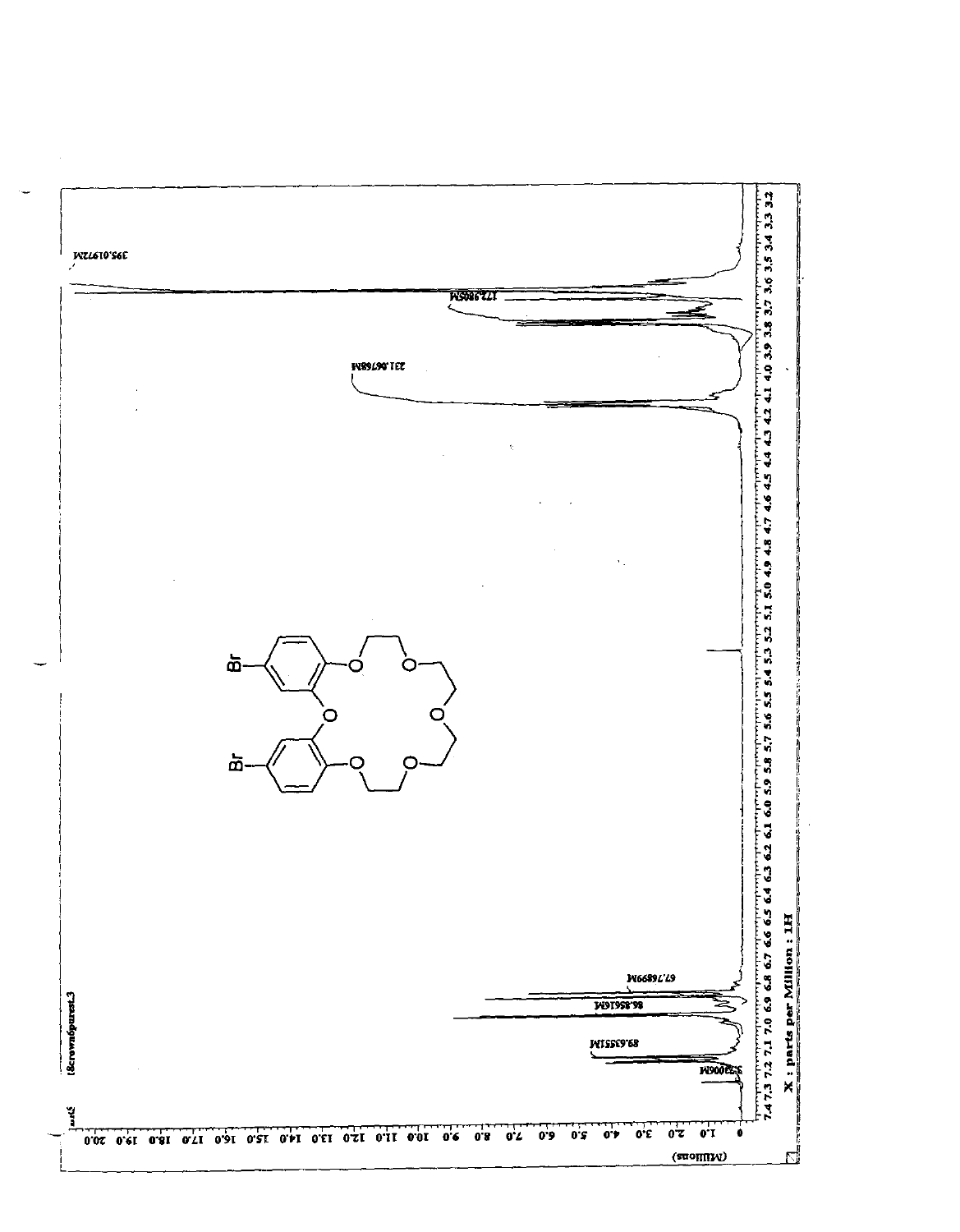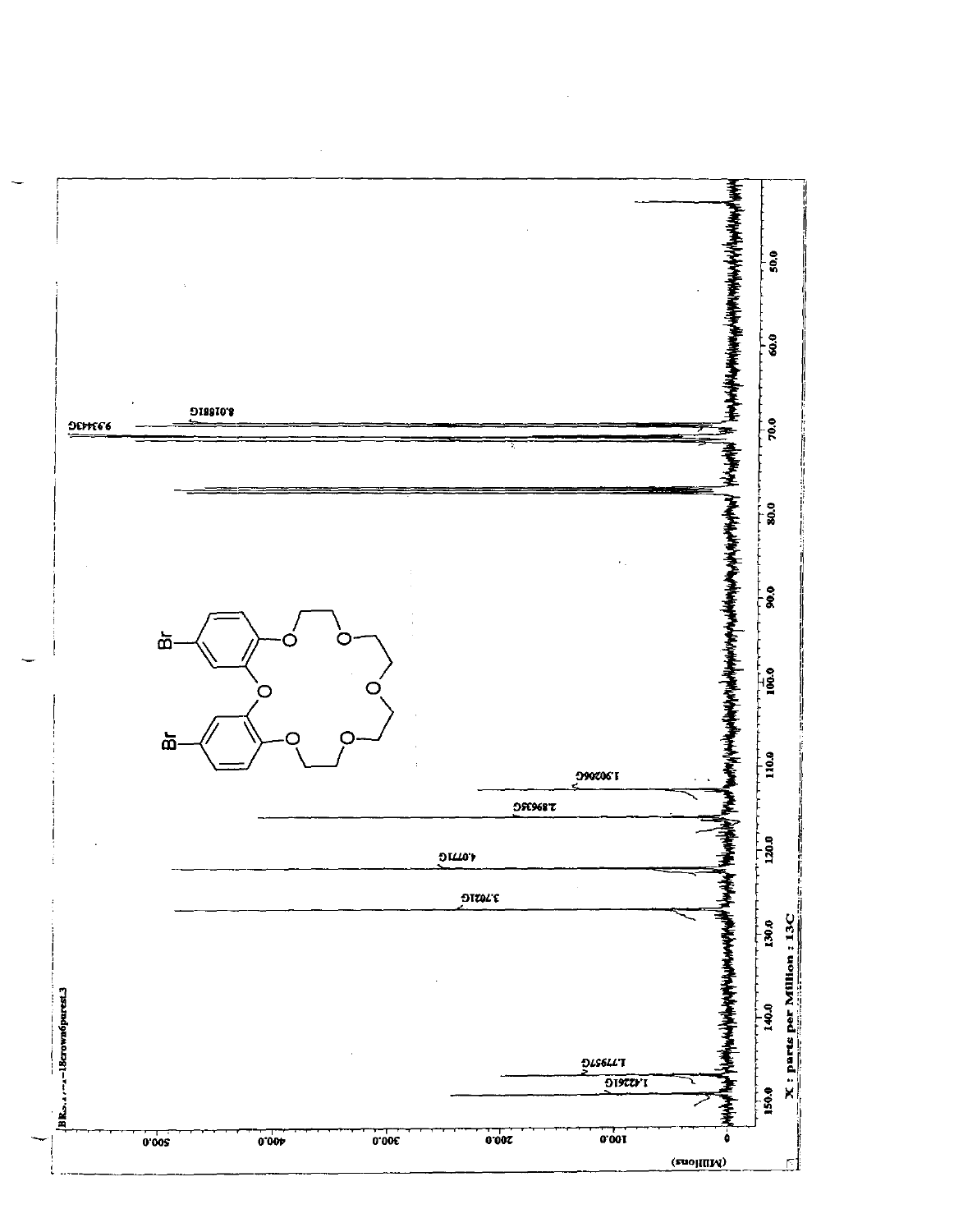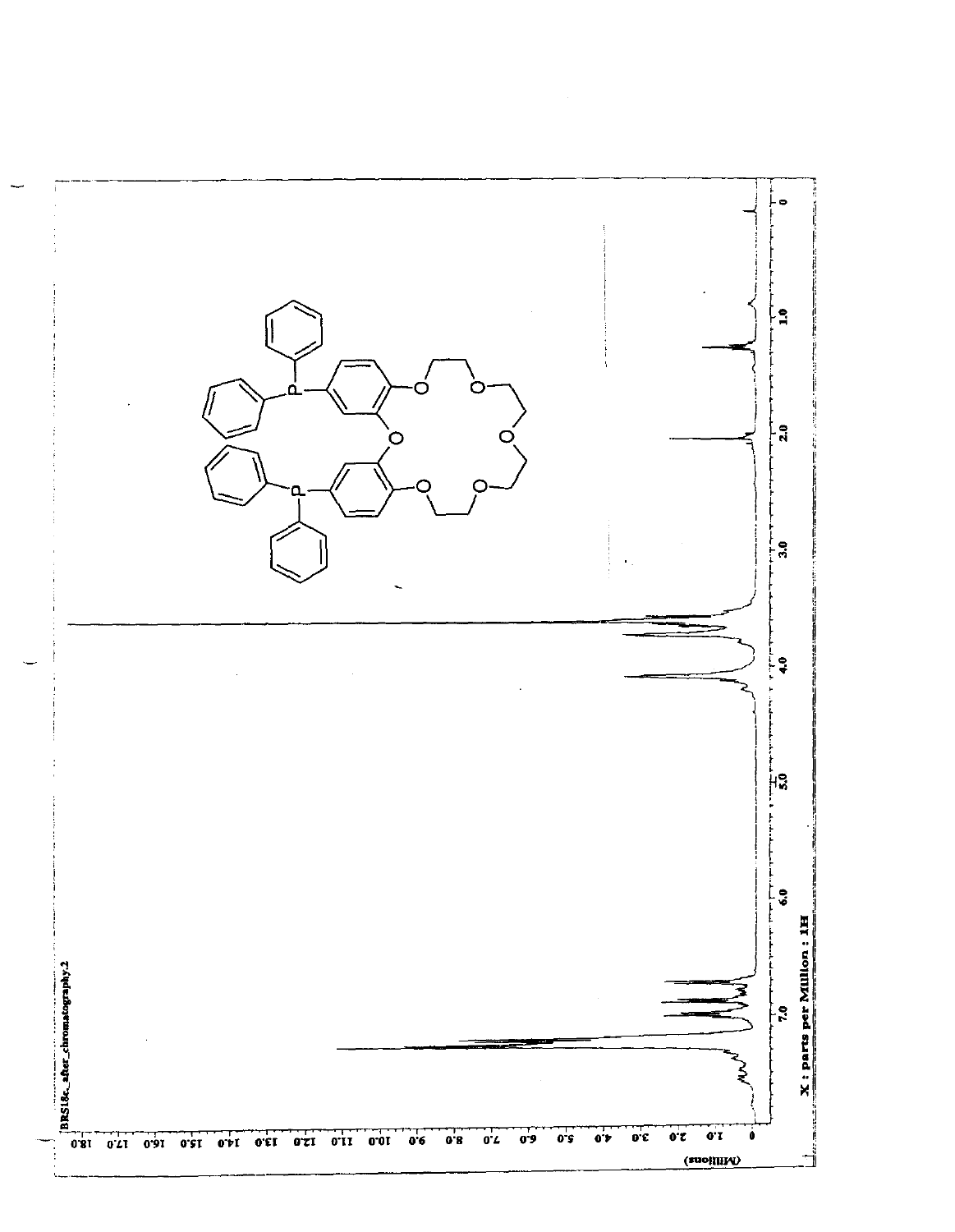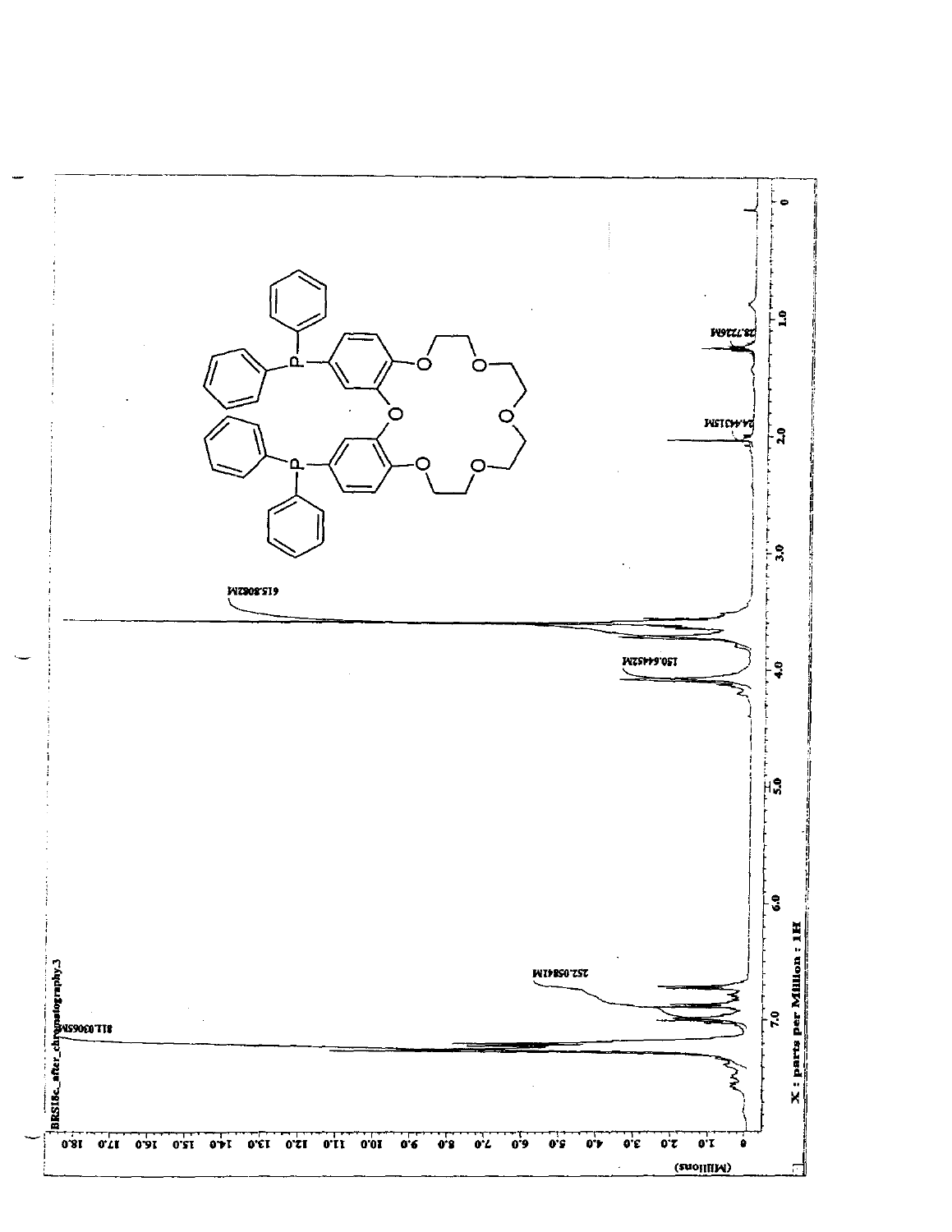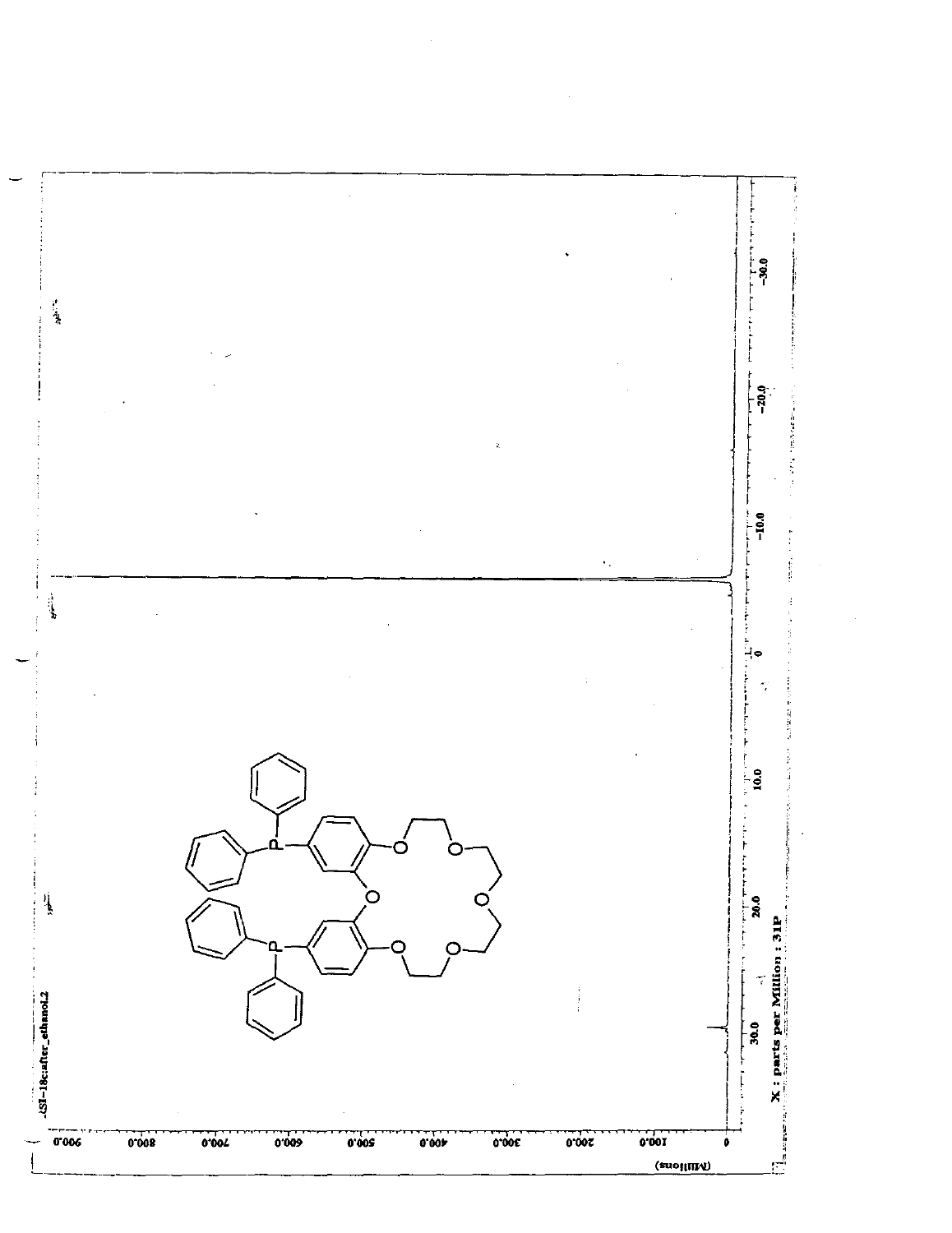